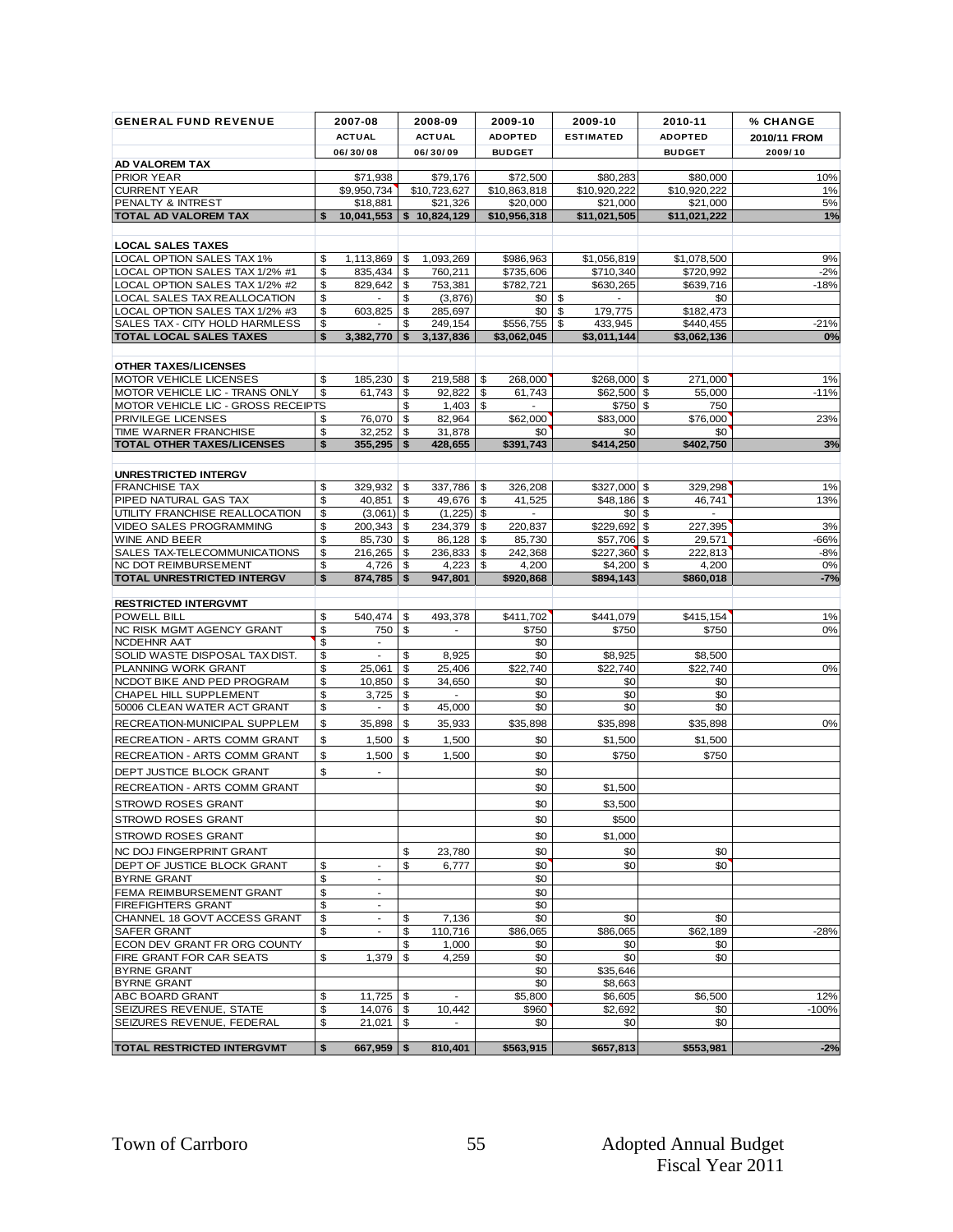| <b>GENERAL FUND REVENUE</b>                                     |          | 2007-08                           |          | 2008-09             |          | 2009-10           |          | 2009-10                             | 2010-11           | <b>% CHANGE</b> |
|-----------------------------------------------------------------|----------|-----------------------------------|----------|---------------------|----------|-------------------|----------|-------------------------------------|-------------------|-----------------|
|                                                                 |          | <b>ACTUAL</b>                     |          | <b>ACTUAL</b>       |          | <b>ADOPTED</b>    |          | <b>ESTIMATED</b>                    | <b>ADOPTED</b>    | 2010/11 FROM    |
|                                                                 |          | 06/30/08                          |          | 06/30/09            |          | <b>BUDGET</b>     |          |                                     | <b>BUDGET</b>     | 2009/10         |
| AD VALOREM TAX<br><b>PRIOR YEAR</b>                             |          | \$71,938                          |          | \$79,176            |          | \$72,500          |          | \$80,283                            | \$80,000          | 10%             |
| <b>CURRENT YEAR</b>                                             |          | \$9,950,734                       |          | \$10,723,627        |          | \$10,863,818      |          | \$10,920,222                        | \$10,920,222      | 1%              |
| PENALTY & INTREST                                               |          | \$18,881                          |          | \$21,326            |          | \$20,000          |          | \$21.000                            | \$21.000          | 5%              |
| <b>TOTAL AD VALOREM TAX</b>                                     | \$       | 10,041,553                        |          | \$10,824,129        |          | \$10,956,318      |          | \$11,021,505                        | \$11,021,222      | 1%              |
| <b>LOCAL SALES TAXES</b>                                        |          |                                   |          |                     |          |                   |          |                                     |                   |                 |
| LOCAL OPTION SALES TAX 1%                                       | \$       | $1,113,869$ \$                    |          | 1,093,269           |          | \$986,963         |          | \$1,056,819                         | \$1,078,500       | 9%              |
| LOCAL OPTION SALES TAX 1/2% #1                                  | \$       | 835,434                           | \$       | 760.211             |          | \$735,606         |          | \$710,340                           | \$720,992         | $-2%$           |
| LOCAL OPTION SALES TAX 1/2% #2                                  | \$       | 829,642                           | \$       | 753,381             |          | \$782,721         |          | \$630,265                           | \$639,716         | $-18%$          |
| LOCAL SALES TAX REALLOCATION<br>LOCAL OPTION SALES TAX 1/2% #3  | \$<br>\$ | 603,825                           | \$<br>\$ | (3,876)<br>285,697  |          | \$0<br>\$0        | \$<br>\$ | $\overline{\phantom{a}}$<br>179,775 | \$0<br>\$182,473  |                 |
| SALES TAX - CITY HOLD HARMLESS                                  | \$       |                                   | \$       | 249,154             |          | \$556,755         | \$       | 433,945                             | \$440,455         | $-21%$          |
| <b>TOTAL LOCAL SALES TAXES</b>                                  | \$       | 3,382,770                         | \$       | 3,137,836           |          | \$3,062,045       |          | \$3,011,144                         | \$3,062,136       | 0%              |
|                                                                 |          |                                   |          |                     |          |                   |          |                                     |                   |                 |
| <b>OTHER TAXES/LICENSES</b>                                     |          |                                   |          |                     |          |                   |          |                                     |                   |                 |
| <b>MOTOR VEHICLE LICENSES</b><br>MOTOR VEHICLE LIC - TRANS ONLY | \$<br>\$ | 185,230<br>61,743                 | \$<br>\$ | 219,588<br>92,822   | \$<br>\$ | 268,000<br>61,743 |          | \$268,000 \$<br>$$62,500$ \$        | 271,000<br>55,000 | 1%<br>$-11%$    |
| MOTOR VEHICLE LIC - GROSS RECEIPTS                              |          |                                   | \$       | 1,403               | \$       |                   |          | \$750 \$                            | 750               |                 |
| PRIVILEGE LICENSES                                              | \$       | 76,070                            | \$       | 82.964              |          | \$62,000          |          | \$83,000                            | \$76,000          | 23%             |
| TIME WARNER FRANCHISE                                           | \$       | 32,252                            | \$       | 31,878              |          | \$0'              |          | \$0                                 | \$0<br>\$402.750  |                 |
| <b>TOTAL OTHER TAXES/LICENSES</b>                               | \$       | 355,295                           | \$       | 428,655             |          | \$391.743         |          | \$414.250                           |                   | 3%              |
| <b>UNRESTRICTED INTERGV</b>                                     |          |                                   |          |                     |          |                   |          |                                     |                   |                 |
| <b>FRANCHISE TAX</b>                                            | \$       | 329,932                           | \$       | 337,786             | \$       | 326,208           |          | $$327,000$ \$                       | 329.298           | 1%              |
| PIPED NATURAL GAS TAX                                           | \$       | 40,851                            | \$       | 49,676              | \$       | 41,525            |          | \$48,186 \$                         | 46,741            | 13%             |
| UTILITY FRANCHISE REALLOCATION<br>VIDEO SALES PROGRAMMING       | \$<br>\$ | $(3,061)$ \$<br>200,343           | \$       | (1, 225)<br>234,379 | \$<br>\$ | $\sim$<br>220,837 |          | $$0\,$ \$<br>\$229,692 \$           | $\sim$<br>227,395 | 3%              |
| <b>WINE AND BEER</b>                                            | \$       | 85,730                            | \$       | 86,128              | \$       | 85,730            |          | \$57,706 \$                         | 29,571            | -66%            |
| SALES TAX-TELECOMMUNICATIONS                                    | \$       | 216,265 \$                        |          | 236,833             | \$       | 242,368           |          | $$227,360$ \$                       | 222,813           | $-8%$           |
| NC DOT REIMBURSEMENT                                            | \$       | 4,726 \$                          |          | 4,223               | \$       | 4,200             |          | $$4,200$ \$                         | 4,200             | 0%              |
| <b>TOTAL UNRESTRICTED INTERGV</b>                               | \$       | 874,785                           | \$       | 947,801             |          | \$920,868         |          | \$894,143                           | \$860,018         | $-7%$           |
| <b>RESTRICTED INTERGVMT</b>                                     |          |                                   |          |                     |          |                   |          |                                     |                   |                 |
| <b>POWELL BILL</b>                                              | \$       | 540,474                           | \$       | 493,378             |          | \$411,702         |          | \$441,079                           | \$415, 154        | 1%              |
| NC RISK MGMT AGENCY GRANT<br>NCDEHNR AAT                        | \$<br>\$ | 750<br>$\overline{\phantom{a}}$   | \$       |                     |          | \$750             |          | \$750                               | \$750             | 0%              |
| SOLID WASTE DISPOSAL TAX DIST.                                  | \$       | $\blacksquare$                    | \$       | 8,925               |          | \$0<br>\$0        |          | \$8,925                             | \$8,500           |                 |
| PLANNING WORK GRANT                                             | \$       | 25,061                            | \$       | 25,406              |          | \$22,740          |          | \$22,740                            | \$22,740          | 0%              |
| NCDOT BIKE AND PED PROGRAM                                      | \$       | 10,850                            | \$       | 34,650              |          | \$0               |          | \$0                                 | \$0               |                 |
| CHAPEL HILL SUPPLEMENT<br>50006 CLEAN WATER ACT GRANT           | \$<br>\$ | 3,725<br>$\overline{\phantom{a}}$ | \$<br>\$ | 45,000              |          | \$0<br>\$0        |          | \$0<br>\$0                          | \$0<br>\$0        |                 |
| RECREATION-MUNICIPAL SUPPLEM                                    | \$       | 35,898                            | \$       | 35,933              |          | \$35,898          |          | \$35,898                            | \$35,898          | 0%              |
| RECREATION - ARTS COMM GRANT                                    | \$       | 1,500                             | \$       | 1,500               |          | \$0               |          | \$1,500                             | \$1,500           |                 |
| RECREATION - ARTS COMM GRANT                                    | \$       | 1,500                             | \$       | 1,500               |          | \$0               |          | \$750                               | \$750             |                 |
| DEPT JUSTICE BLOCK GRANT                                        | \$       | $\overline{\phantom{a}}$          |          |                     |          | \$0               |          |                                     |                   |                 |
| RECREATION - ARTS COMM GRANT                                    |          |                                   |          |                     |          | \$0               |          | \$1,500                             |                   |                 |
| STROWD ROSES GRANT                                              |          |                                   |          |                     |          | \$0               |          | \$3,500                             |                   |                 |
| <b>STROWD ROSES GRANT</b>                                       |          |                                   |          |                     |          | \$0               |          | \$500                               |                   |                 |
| STROWD ROSES GRANT                                              |          |                                   |          |                     |          | \$0               |          | \$1,000                             |                   |                 |
| NC DOJ FINGERPRINT GRANT                                        |          |                                   | \$       | 23,780              |          | \$0               |          | \$0                                 | \$0               |                 |
| DEPT OF JUSTICE BLOCK GRANT                                     | \$       | $\sim$                            | \$       | 6,777               |          | \$0               |          | \$0                                 | \$0               |                 |
| <b>BYRNE GRANT</b>                                              | \$       |                                   |          |                     |          | \$0               |          |                                     |                   |                 |
| FEMA REIMBURSEMENT GRANT                                        | \$       | $\overline{\phantom{a}}$          |          |                     |          | \$0               |          |                                     |                   |                 |
| <b>FIREFIGHTERS GRANT</b><br>CHANNEL 18 GOVT ACCESS GRANT       | \$<br>\$ | $\overline{\phantom{a}}$          | \$       | 7,136               |          | \$0<br>\$0        |          | \$0                                 | \$0               |                 |
| SAFER GRANT                                                     | \$       | $\overline{\phantom{a}}$          | \$       | 110,716             |          | \$86,065          |          | \$86,065                            | \$62,189          | $-28%$          |
| ECON DEV GRANT FR ORG COUNTY                                    |          |                                   | \$       | 1,000               |          | \$0               |          | \$0                                 | \$0               |                 |
| FIRE GRANT FOR CAR SEATS                                        | \$       | 1,379                             | \$       | 4,259               |          | \$0               |          | \$0                                 | \$0               |                 |
| <b>BYRNE GRANT</b><br><b>BYRNE GRANT</b>                        |          |                                   |          |                     |          | \$0<br>\$0        |          | \$35,646<br>\$8,663                 |                   |                 |
| ABC BOARD GRANT                                                 | \$       |                                   |          | $\mathbf{r}$        |          | \$5,800           |          | \$6,605                             | \$6,500           | 12%             |
| SEIZURES REVENUE, STATE                                         | \$       | $14,076$ \$                       |          | 10,442              |          | \$960             |          | \$2,692                             | \$0               | $-100%$         |
| SEIZURES REVENUE, FEDERAL                                       | \$       | $21,021$ \$                       |          |                     |          | \$0               |          | \$0                                 | \$0               |                 |
| TOTAL RESTRICTED INTERGVMT                                      | \$       | $667,959$ \$                      |          | 810,401             |          | \$563,915         |          | \$657,813                           | \$553,981         | $-2%$           |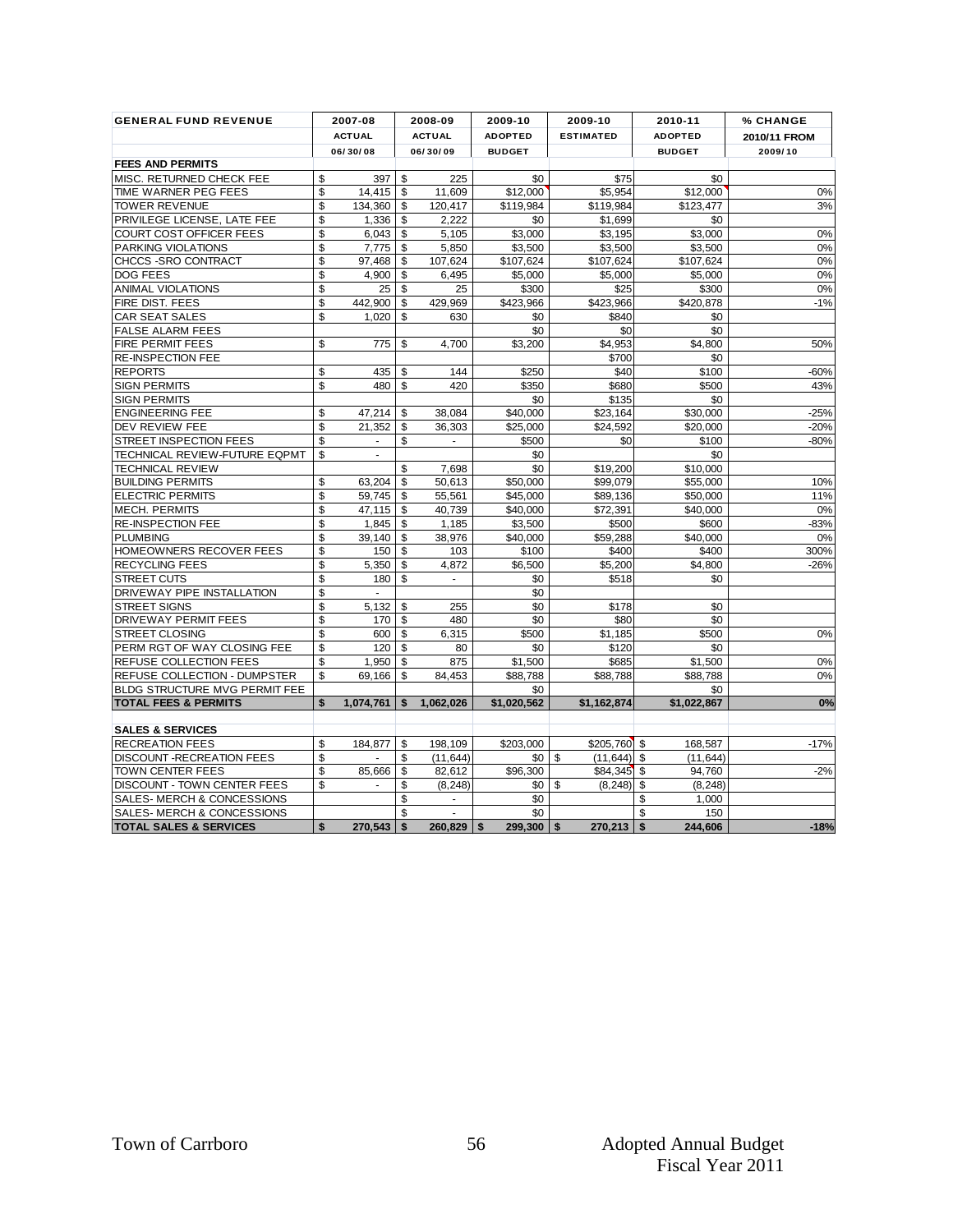| <b>FEES AND PERMITS</b><br>MISC. RETURNED CHECK FEE<br>\$<br>\$<br>TIME WARNER PEG FEES<br>\$<br><b>TOWER REVENUE</b><br>\$<br>PRIVILEGE LICENSE, LATE FEE<br>\$<br><b>COURT COST OFFICER FEES</b><br>\$<br><b>PARKING VIOLATIONS</b><br>\$<br>CHCCS - SRO CONTRACT<br>\$<br>DOG FEES<br>\$<br><b>ANIMAL VIOLATIONS</b><br>\$<br>FIRE DIST. FEES<br>\$<br>CAR SEAT SALES<br><b>FALSE ALARM FEES</b><br>FIRE PERMIT FEES<br>\$<br>RE-INSPECTION FEE<br>\$<br><b>REPORTS</b><br>\$<br><b>SIGN PERMITS</b><br><b>SIGN PERMITS</b><br>\$<br><b>ENGINEERING FEE</b><br>\$<br>DEV REVIEW FEE<br>STREET INSPECTION FEES<br>\$<br>TECHNICAL REVIEW-FUTURE EQPMT<br>\$<br><b>TECHNICAL REVIEW</b><br><b>BUILDING PERMITS</b><br>\$<br>\$<br><b>ELECTRIC PERMITS</b><br>\$<br><b>MECH. PERMITS</b><br><b>RE-INSPECTION FEE</b><br>\$<br>\$<br><b>PLUMBING</b><br>\$<br>HOMEOWNERS RECOVER FEES<br>\$<br>RECYCLING FEES<br>\$<br>STREET CUTS<br>\$<br>DRIVEWAY PIPE INSTALLATION<br>\$<br><b>STREET SIGNS</b><br>DRIVEWAY PERMIT FEES<br>\$<br><b>STREET CLOSING</b><br>\$<br>PERM RGT OF WAY CLOSING FEE<br>\$<br>REFUSE COLLECTION FEES<br>\$<br><b>REFUSE COLLECTION - DUMPSTER</b><br>\$<br><b>BLDG STRUCTURE MVG PERMIT FEE</b><br><b>TOTAL FEES &amp; PERMITS</b><br>\$<br><b>SALES &amp; SERVICES</b><br><b>RECREATION FEES</b><br>\$<br>\$<br><b>DISCOUNT-RECREATION FEES</b><br><b>TOWN CENTER FEES</b><br>\$<br>$\frac{1}{2}$ | <b>ACTUAL</b><br>06/30/08<br>14,415<br>134,360<br>1,336<br>6,043<br>7,775<br>97,468<br>4,900<br>25<br>442,900<br>1.020<br>775<br>435<br>480<br>47,214<br>21,352<br>$\blacksquare$<br>63,204<br>59,745<br>47.115<br>1,845<br>39.140<br>150<br>5,350<br>180<br>$\sim$<br>5,132<br>170 <sub>1</sub><br>600 | -\$<br>\$<br>\$<br>\$<br>\$<br>\$<br>\$<br>\$<br>\$<br>\$<br>\$<br>\$<br>\$<br>\$<br>\$<br>\$<br>\$<br>\$<br>\$<br>\$<br>\$<br>\$<br>\$<br>\$<br>\$<br>\$<br>\$<br>\$ | <b>ACTUAL</b><br>06/30/09<br>225<br>11,609<br>120,417<br>2,222<br>5,105<br>5,850<br>107,624<br>6,495<br>25<br>429,969<br>630<br>4,700<br>144<br>420<br>38,084<br>36,303<br>7.698<br>50,613<br>55,561<br>40,739<br>1,185<br>38,976<br>103<br>4,872<br>$\omega$<br>255<br>480 | <b>ADOPTED</b><br><b>BUDGET</b><br>\$0<br>\$12,000<br>\$119,984<br>\$0<br>\$3,000<br>\$3,500<br>\$107,624<br>\$5,000<br>\$300<br>\$423,966<br>\$0<br>\$0<br>\$3,200<br>\$250<br>\$350<br>\$0<br>\$40.000<br>\$25,000<br>\$500<br>\$0<br>\$0<br>\$50,000<br>\$45,000<br>\$40,000<br>\$3,500<br>\$40,000<br>\$100<br>\$6,500<br>\$0<br>\$0<br>\$0<br>\$0 | <b>ESTIMATED</b><br>\$75<br>\$5,954<br>\$119,984<br>\$1,699<br>\$3,195<br>\$3,500<br>\$107,624<br>\$5,000<br>\$25<br>\$423,966<br>\$840<br>\$0<br>\$4,953<br>\$700<br>\$40<br>\$680<br>\$135<br>\$23,164<br>\$24,592<br>\$0<br>\$19,200<br>\$99.079<br>\$89,136<br>\$72,391<br>\$500<br>\$59,288<br>\$400<br>\$5,200<br>\$518<br>\$178 | <b>ADOPTED</b><br><b>BUDGET</b><br>\$0<br>\$12,000<br>\$123,477<br>\$0<br>\$3,000<br>\$3,500<br>\$107.624<br>\$5,000<br>\$300<br>\$420,878<br>\$0<br>\$0<br>\$4,800<br>\$0<br>\$100<br>\$500<br>\$0<br>\$30,000<br>\$20,000<br>\$100<br>\$0<br>\$10,000<br>\$55.000<br>\$50,000<br>\$40,000<br>\$600<br>\$40,000<br>\$400<br>\$4,800<br>\$0<br>\$0 | 2010/11 FROM<br>2009/10<br>0%<br>3%                                    |
|------------------------------------------------------------------------------------------------------------------------------------------------------------------------------------------------------------------------------------------------------------------------------------------------------------------------------------------------------------------------------------------------------------------------------------------------------------------------------------------------------------------------------------------------------------------------------------------------------------------------------------------------------------------------------------------------------------------------------------------------------------------------------------------------------------------------------------------------------------------------------------------------------------------------------------------------------------------------------------------------------------------------------------------------------------------------------------------------------------------------------------------------------------------------------------------------------------------------------------------------------------------------------------------------------------------------------------------------------------------------------------------------------------------------------|---------------------------------------------------------------------------------------------------------------------------------------------------------------------------------------------------------------------------------------------------------------------------------------------------------|-----------------------------------------------------------------------------------------------------------------------------------------------------------------------|-----------------------------------------------------------------------------------------------------------------------------------------------------------------------------------------------------------------------------------------------------------------------------|--------------------------------------------------------------------------------------------------------------------------------------------------------------------------------------------------------------------------------------------------------------------------------------------------------------------------------------------------------|----------------------------------------------------------------------------------------------------------------------------------------------------------------------------------------------------------------------------------------------------------------------------------------------------------------------------------------|----------------------------------------------------------------------------------------------------------------------------------------------------------------------------------------------------------------------------------------------------------------------------------------------------------------------------------------------------|------------------------------------------------------------------------|
|                                                                                                                                                                                                                                                                                                                                                                                                                                                                                                                                                                                                                                                                                                                                                                                                                                                                                                                                                                                                                                                                                                                                                                                                                                                                                                                                                                                                                              |                                                                                                                                                                                                                                                                                                         |                                                                                                                                                                       |                                                                                                                                                                                                                                                                             |                                                                                                                                                                                                                                                                                                                                                        |                                                                                                                                                                                                                                                                                                                                        |                                                                                                                                                                                                                                                                                                                                                    |                                                                        |
|                                                                                                                                                                                                                                                                                                                                                                                                                                                                                                                                                                                                                                                                                                                                                                                                                                                                                                                                                                                                                                                                                                                                                                                                                                                                                                                                                                                                                              |                                                                                                                                                                                                                                                                                                         |                                                                                                                                                                       |                                                                                                                                                                                                                                                                             |                                                                                                                                                                                                                                                                                                                                                        |                                                                                                                                                                                                                                                                                                                                        |                                                                                                                                                                                                                                                                                                                                                    |                                                                        |
|                                                                                                                                                                                                                                                                                                                                                                                                                                                                                                                                                                                                                                                                                                                                                                                                                                                                                                                                                                                                                                                                                                                                                                                                                                                                                                                                                                                                                              |                                                                                                                                                                                                                                                                                                         |                                                                                                                                                                       |                                                                                                                                                                                                                                                                             |                                                                                                                                                                                                                                                                                                                                                        |                                                                                                                                                                                                                                                                                                                                        |                                                                                                                                                                                                                                                                                                                                                    |                                                                        |
|                                                                                                                                                                                                                                                                                                                                                                                                                                                                                                                                                                                                                                                                                                                                                                                                                                                                                                                                                                                                                                                                                                                                                                                                                                                                                                                                                                                                                              |                                                                                                                                                                                                                                                                                                         |                                                                                                                                                                       |                                                                                                                                                                                                                                                                             |                                                                                                                                                                                                                                                                                                                                                        |                                                                                                                                                                                                                                                                                                                                        |                                                                                                                                                                                                                                                                                                                                                    |                                                                        |
|                                                                                                                                                                                                                                                                                                                                                                                                                                                                                                                                                                                                                                                                                                                                                                                                                                                                                                                                                                                                                                                                                                                                                                                                                                                                                                                                                                                                                              |                                                                                                                                                                                                                                                                                                         |                                                                                                                                                                       |                                                                                                                                                                                                                                                                             |                                                                                                                                                                                                                                                                                                                                                        |                                                                                                                                                                                                                                                                                                                                        |                                                                                                                                                                                                                                                                                                                                                    | 0%<br>0%                                                               |
|                                                                                                                                                                                                                                                                                                                                                                                                                                                                                                                                                                                                                                                                                                                                                                                                                                                                                                                                                                                                                                                                                                                                                                                                                                                                                                                                                                                                                              |                                                                                                                                                                                                                                                                                                         |                                                                                                                                                                       |                                                                                                                                                                                                                                                                             |                                                                                                                                                                                                                                                                                                                                                        |                                                                                                                                                                                                                                                                                                                                        |                                                                                                                                                                                                                                                                                                                                                    |                                                                        |
|                                                                                                                                                                                                                                                                                                                                                                                                                                                                                                                                                                                                                                                                                                                                                                                                                                                                                                                                                                                                                                                                                                                                                                                                                                                                                                                                                                                                                              |                                                                                                                                                                                                                                                                                                         |                                                                                                                                                                       |                                                                                                                                                                                                                                                                             |                                                                                                                                                                                                                                                                                                                                                        |                                                                                                                                                                                                                                                                                                                                        |                                                                                                                                                                                                                                                                                                                                                    | 0%                                                                     |
|                                                                                                                                                                                                                                                                                                                                                                                                                                                                                                                                                                                                                                                                                                                                                                                                                                                                                                                                                                                                                                                                                                                                                                                                                                                                                                                                                                                                                              |                                                                                                                                                                                                                                                                                                         |                                                                                                                                                                       |                                                                                                                                                                                                                                                                             |                                                                                                                                                                                                                                                                                                                                                        |                                                                                                                                                                                                                                                                                                                                        |                                                                                                                                                                                                                                                                                                                                                    | 0%                                                                     |
|                                                                                                                                                                                                                                                                                                                                                                                                                                                                                                                                                                                                                                                                                                                                                                                                                                                                                                                                                                                                                                                                                                                                                                                                                                                                                                                                                                                                                              |                                                                                                                                                                                                                                                                                                         |                                                                                                                                                                       |                                                                                                                                                                                                                                                                             |                                                                                                                                                                                                                                                                                                                                                        |                                                                                                                                                                                                                                                                                                                                        |                                                                                                                                                                                                                                                                                                                                                    | 0%                                                                     |
|                                                                                                                                                                                                                                                                                                                                                                                                                                                                                                                                                                                                                                                                                                                                                                                                                                                                                                                                                                                                                                                                                                                                                                                                                                                                                                                                                                                                                              |                                                                                                                                                                                                                                                                                                         |                                                                                                                                                                       |                                                                                                                                                                                                                                                                             |                                                                                                                                                                                                                                                                                                                                                        |                                                                                                                                                                                                                                                                                                                                        |                                                                                                                                                                                                                                                                                                                                                    | $-1%$<br>50%                                                           |
|                                                                                                                                                                                                                                                                                                                                                                                                                                                                                                                                                                                                                                                                                                                                                                                                                                                                                                                                                                                                                                                                                                                                                                                                                                                                                                                                                                                                                              |                                                                                                                                                                                                                                                                                                         |                                                                                                                                                                       |                                                                                                                                                                                                                                                                             |                                                                                                                                                                                                                                                                                                                                                        |                                                                                                                                                                                                                                                                                                                                        |                                                                                                                                                                                                                                                                                                                                                    |                                                                        |
|                                                                                                                                                                                                                                                                                                                                                                                                                                                                                                                                                                                                                                                                                                                                                                                                                                                                                                                                                                                                                                                                                                                                                                                                                                                                                                                                                                                                                              |                                                                                                                                                                                                                                                                                                         |                                                                                                                                                                       |                                                                                                                                                                                                                                                                             |                                                                                                                                                                                                                                                                                                                                                        |                                                                                                                                                                                                                                                                                                                                        |                                                                                                                                                                                                                                                                                                                                                    |                                                                        |
|                                                                                                                                                                                                                                                                                                                                                                                                                                                                                                                                                                                                                                                                                                                                                                                                                                                                                                                                                                                                                                                                                                                                                                                                                                                                                                                                                                                                                              |                                                                                                                                                                                                                                                                                                         |                                                                                                                                                                       |                                                                                                                                                                                                                                                                             |                                                                                                                                                                                                                                                                                                                                                        |                                                                                                                                                                                                                                                                                                                                        |                                                                                                                                                                                                                                                                                                                                                    |                                                                        |
|                                                                                                                                                                                                                                                                                                                                                                                                                                                                                                                                                                                                                                                                                                                                                                                                                                                                                                                                                                                                                                                                                                                                                                                                                                                                                                                                                                                                                              |                                                                                                                                                                                                                                                                                                         |                                                                                                                                                                       |                                                                                                                                                                                                                                                                             |                                                                                                                                                                                                                                                                                                                                                        |                                                                                                                                                                                                                                                                                                                                        |                                                                                                                                                                                                                                                                                                                                                    | -60%<br>43%<br>$-25%$                                                  |
|                                                                                                                                                                                                                                                                                                                                                                                                                                                                                                                                                                                                                                                                                                                                                                                                                                                                                                                                                                                                                                                                                                                                                                                                                                                                                                                                                                                                                              |                                                                                                                                                                                                                                                                                                         |                                                                                                                                                                       |                                                                                                                                                                                                                                                                             |                                                                                                                                                                                                                                                                                                                                                        |                                                                                                                                                                                                                                                                                                                                        |                                                                                                                                                                                                                                                                                                                                                    |                                                                        |
|                                                                                                                                                                                                                                                                                                                                                                                                                                                                                                                                                                                                                                                                                                                                                                                                                                                                                                                                                                                                                                                                                                                                                                                                                                                                                                                                                                                                                              |                                                                                                                                                                                                                                                                                                         |                                                                                                                                                                       |                                                                                                                                                                                                                                                                             |                                                                                                                                                                                                                                                                                                                                                        |                                                                                                                                                                                                                                                                                                                                        |                                                                                                                                                                                                                                                                                                                                                    |                                                                        |
|                                                                                                                                                                                                                                                                                                                                                                                                                                                                                                                                                                                                                                                                                                                                                                                                                                                                                                                                                                                                                                                                                                                                                                                                                                                                                                                                                                                                                              |                                                                                                                                                                                                                                                                                                         |                                                                                                                                                                       |                                                                                                                                                                                                                                                                             |                                                                                                                                                                                                                                                                                                                                                        |                                                                                                                                                                                                                                                                                                                                        |                                                                                                                                                                                                                                                                                                                                                    | $-20%$<br>$-80%$<br>10%<br>11%<br>0%<br>$-83%$<br>0%<br>300%<br>$-26%$ |
|                                                                                                                                                                                                                                                                                                                                                                                                                                                                                                                                                                                                                                                                                                                                                                                                                                                                                                                                                                                                                                                                                                                                                                                                                                                                                                                                                                                                                              |                                                                                                                                                                                                                                                                                                         |                                                                                                                                                                       |                                                                                                                                                                                                                                                                             |                                                                                                                                                                                                                                                                                                                                                        |                                                                                                                                                                                                                                                                                                                                        |                                                                                                                                                                                                                                                                                                                                                    |                                                                        |
| DISCOUNT - TOWN CENTER FEES<br>SALES-MERCH & CONCESSIONS                                                                                                                                                                                                                                                                                                                                                                                                                                                                                                                                                                                                                                                                                                                                                                                                                                                                                                                                                                                                                                                                                                                                                                                                                                                                                                                                                                     |                                                                                                                                                                                                                                                                                                         |                                                                                                                                                                       |                                                                                                                                                                                                                                                                             |                                                                                                                                                                                                                                                                                                                                                        |                                                                                                                                                                                                                                                                                                                                        |                                                                                                                                                                                                                                                                                                                                                    |                                                                        |
|                                                                                                                                                                                                                                                                                                                                                                                                                                                                                                                                                                                                                                                                                                                                                                                                                                                                                                                                                                                                                                                                                                                                                                                                                                                                                                                                                                                                                              |                                                                                                                                                                                                                                                                                                         |                                                                                                                                                                       |                                                                                                                                                                                                                                                                             |                                                                                                                                                                                                                                                                                                                                                        |                                                                                                                                                                                                                                                                                                                                        |                                                                                                                                                                                                                                                                                                                                                    |                                                                        |
|                                                                                                                                                                                                                                                                                                                                                                                                                                                                                                                                                                                                                                                                                                                                                                                                                                                                                                                                                                                                                                                                                                                                                                                                                                                                                                                                                                                                                              |                                                                                                                                                                                                                                                                                                         |                                                                                                                                                                       |                                                                                                                                                                                                                                                                             |                                                                                                                                                                                                                                                                                                                                                        |                                                                                                                                                                                                                                                                                                                                        |                                                                                                                                                                                                                                                                                                                                                    |                                                                        |
|                                                                                                                                                                                                                                                                                                                                                                                                                                                                                                                                                                                                                                                                                                                                                                                                                                                                                                                                                                                                                                                                                                                                                                                                                                                                                                                                                                                                                              |                                                                                                                                                                                                                                                                                                         |                                                                                                                                                                       |                                                                                                                                                                                                                                                                             |                                                                                                                                                                                                                                                                                                                                                        |                                                                                                                                                                                                                                                                                                                                        |                                                                                                                                                                                                                                                                                                                                                    |                                                                        |
|                                                                                                                                                                                                                                                                                                                                                                                                                                                                                                                                                                                                                                                                                                                                                                                                                                                                                                                                                                                                                                                                                                                                                                                                                                                                                                                                                                                                                              |                                                                                                                                                                                                                                                                                                         |                                                                                                                                                                       |                                                                                                                                                                                                                                                                             |                                                                                                                                                                                                                                                                                                                                                        |                                                                                                                                                                                                                                                                                                                                        |                                                                                                                                                                                                                                                                                                                                                    |                                                                        |
|                                                                                                                                                                                                                                                                                                                                                                                                                                                                                                                                                                                                                                                                                                                                                                                                                                                                                                                                                                                                                                                                                                                                                                                                                                                                                                                                                                                                                              |                                                                                                                                                                                                                                                                                                         |                                                                                                                                                                       |                                                                                                                                                                                                                                                                             |                                                                                                                                                                                                                                                                                                                                                        |                                                                                                                                                                                                                                                                                                                                        |                                                                                                                                                                                                                                                                                                                                                    |                                                                        |
|                                                                                                                                                                                                                                                                                                                                                                                                                                                                                                                                                                                                                                                                                                                                                                                                                                                                                                                                                                                                                                                                                                                                                                                                                                                                                                                                                                                                                              |                                                                                                                                                                                                                                                                                                         |                                                                                                                                                                       |                                                                                                                                                                                                                                                                             |                                                                                                                                                                                                                                                                                                                                                        |                                                                                                                                                                                                                                                                                                                                        |                                                                                                                                                                                                                                                                                                                                                    |                                                                        |
|                                                                                                                                                                                                                                                                                                                                                                                                                                                                                                                                                                                                                                                                                                                                                                                                                                                                                                                                                                                                                                                                                                                                                                                                                                                                                                                                                                                                                              |                                                                                                                                                                                                                                                                                                         |                                                                                                                                                                       |                                                                                                                                                                                                                                                                             |                                                                                                                                                                                                                                                                                                                                                        |                                                                                                                                                                                                                                                                                                                                        |                                                                                                                                                                                                                                                                                                                                                    |                                                                        |
|                                                                                                                                                                                                                                                                                                                                                                                                                                                                                                                                                                                                                                                                                                                                                                                                                                                                                                                                                                                                                                                                                                                                                                                                                                                                                                                                                                                                                              |                                                                                                                                                                                                                                                                                                         |                                                                                                                                                                       |                                                                                                                                                                                                                                                                             |                                                                                                                                                                                                                                                                                                                                                        |                                                                                                                                                                                                                                                                                                                                        |                                                                                                                                                                                                                                                                                                                                                    |                                                                        |
|                                                                                                                                                                                                                                                                                                                                                                                                                                                                                                                                                                                                                                                                                                                                                                                                                                                                                                                                                                                                                                                                                                                                                                                                                                                                                                                                                                                                                              |                                                                                                                                                                                                                                                                                                         |                                                                                                                                                                       |                                                                                                                                                                                                                                                                             |                                                                                                                                                                                                                                                                                                                                                        |                                                                                                                                                                                                                                                                                                                                        |                                                                                                                                                                                                                                                                                                                                                    |                                                                        |
|                                                                                                                                                                                                                                                                                                                                                                                                                                                                                                                                                                                                                                                                                                                                                                                                                                                                                                                                                                                                                                                                                                                                                                                                                                                                                                                                                                                                                              |                                                                                                                                                                                                                                                                                                         |                                                                                                                                                                       |                                                                                                                                                                                                                                                                             |                                                                                                                                                                                                                                                                                                                                                        |                                                                                                                                                                                                                                                                                                                                        |                                                                                                                                                                                                                                                                                                                                                    |                                                                        |
|                                                                                                                                                                                                                                                                                                                                                                                                                                                                                                                                                                                                                                                                                                                                                                                                                                                                                                                                                                                                                                                                                                                                                                                                                                                                                                                                                                                                                              |                                                                                                                                                                                                                                                                                                         |                                                                                                                                                                       |                                                                                                                                                                                                                                                                             |                                                                                                                                                                                                                                                                                                                                                        |                                                                                                                                                                                                                                                                                                                                        |                                                                                                                                                                                                                                                                                                                                                    |                                                                        |
|                                                                                                                                                                                                                                                                                                                                                                                                                                                                                                                                                                                                                                                                                                                                                                                                                                                                                                                                                                                                                                                                                                                                                                                                                                                                                                                                                                                                                              |                                                                                                                                                                                                                                                                                                         |                                                                                                                                                                       |                                                                                                                                                                                                                                                                             |                                                                                                                                                                                                                                                                                                                                                        | \$80                                                                                                                                                                                                                                                                                                                                   | \$0                                                                                                                                                                                                                                                                                                                                                |                                                                        |
|                                                                                                                                                                                                                                                                                                                                                                                                                                                                                                                                                                                                                                                                                                                                                                                                                                                                                                                                                                                                                                                                                                                                                                                                                                                                                                                                                                                                                              |                                                                                                                                                                                                                                                                                                         |                                                                                                                                                                       | 6,315                                                                                                                                                                                                                                                                       | \$500                                                                                                                                                                                                                                                                                                                                                  | \$1,185                                                                                                                                                                                                                                                                                                                                | \$500                                                                                                                                                                                                                                                                                                                                              | 0%                                                                     |
|                                                                                                                                                                                                                                                                                                                                                                                                                                                                                                                                                                                                                                                                                                                                                                                                                                                                                                                                                                                                                                                                                                                                                                                                                                                                                                                                                                                                                              | 120                                                                                                                                                                                                                                                                                                     | \$                                                                                                                                                                    | 80                                                                                                                                                                                                                                                                          | \$0                                                                                                                                                                                                                                                                                                                                                    | \$120                                                                                                                                                                                                                                                                                                                                  | \$0                                                                                                                                                                                                                                                                                                                                                |                                                                        |
|                                                                                                                                                                                                                                                                                                                                                                                                                                                                                                                                                                                                                                                                                                                                                                                                                                                                                                                                                                                                                                                                                                                                                                                                                                                                                                                                                                                                                              | 1,950                                                                                                                                                                                                                                                                                                   | \$                                                                                                                                                                    | 875                                                                                                                                                                                                                                                                         | \$1,500                                                                                                                                                                                                                                                                                                                                                | \$685                                                                                                                                                                                                                                                                                                                                  | \$1,500                                                                                                                                                                                                                                                                                                                                            | 0%                                                                     |
|                                                                                                                                                                                                                                                                                                                                                                                                                                                                                                                                                                                                                                                                                                                                                                                                                                                                                                                                                                                                                                                                                                                                                                                                                                                                                                                                                                                                                              | 69,166                                                                                                                                                                                                                                                                                                  | \$                                                                                                                                                                    | 84,453                                                                                                                                                                                                                                                                      | \$88,788                                                                                                                                                                                                                                                                                                                                               | \$88,788                                                                                                                                                                                                                                                                                                                               | \$88,788                                                                                                                                                                                                                                                                                                                                           | 0%                                                                     |
|                                                                                                                                                                                                                                                                                                                                                                                                                                                                                                                                                                                                                                                                                                                                                                                                                                                                                                                                                                                                                                                                                                                                                                                                                                                                                                                                                                                                                              | 1,074,761                                                                                                                                                                                                                                                                                               | \$                                                                                                                                                                    | 1.062.026                                                                                                                                                                                                                                                                   | \$0<br>\$1,020,562                                                                                                                                                                                                                                                                                                                                     | \$1,162,874                                                                                                                                                                                                                                                                                                                            | \$0<br>\$1,022,867                                                                                                                                                                                                                                                                                                                                 | 0%                                                                     |
|                                                                                                                                                                                                                                                                                                                                                                                                                                                                                                                                                                                                                                                                                                                                                                                                                                                                                                                                                                                                                                                                                                                                                                                                                                                                                                                                                                                                                              |                                                                                                                                                                                                                                                                                                         |                                                                                                                                                                       |                                                                                                                                                                                                                                                                             |                                                                                                                                                                                                                                                                                                                                                        |                                                                                                                                                                                                                                                                                                                                        |                                                                                                                                                                                                                                                                                                                                                    |                                                                        |
|                                                                                                                                                                                                                                                                                                                                                                                                                                                                                                                                                                                                                                                                                                                                                                                                                                                                                                                                                                                                                                                                                                                                                                                                                                                                                                                                                                                                                              |                                                                                                                                                                                                                                                                                                         |                                                                                                                                                                       |                                                                                                                                                                                                                                                                             |                                                                                                                                                                                                                                                                                                                                                        |                                                                                                                                                                                                                                                                                                                                        |                                                                                                                                                                                                                                                                                                                                                    |                                                                        |
|                                                                                                                                                                                                                                                                                                                                                                                                                                                                                                                                                                                                                                                                                                                                                                                                                                                                                                                                                                                                                                                                                                                                                                                                                                                                                                                                                                                                                              | 184,877                                                                                                                                                                                                                                                                                                 | \$                                                                                                                                                                    | 198,109                                                                                                                                                                                                                                                                     | \$203.000                                                                                                                                                                                                                                                                                                                                              | $$205,760$ \$                                                                                                                                                                                                                                                                                                                          | 168,587                                                                                                                                                                                                                                                                                                                                            | $-17%$                                                                 |
|                                                                                                                                                                                                                                                                                                                                                                                                                                                                                                                                                                                                                                                                                                                                                                                                                                                                                                                                                                                                                                                                                                                                                                                                                                                                                                                                                                                                                              |                                                                                                                                                                                                                                                                                                         | \$                                                                                                                                                                    | (11, 644)                                                                                                                                                                                                                                                                   | \$0 <sub>1</sub>                                                                                                                                                                                                                                                                                                                                       | \$<br>$(11, 644)$ \$                                                                                                                                                                                                                                                                                                                   | (11, 644)                                                                                                                                                                                                                                                                                                                                          |                                                                        |
|                                                                                                                                                                                                                                                                                                                                                                                                                                                                                                                                                                                                                                                                                                                                                                                                                                                                                                                                                                                                                                                                                                                                                                                                                                                                                                                                                                                                                              | 85,666                                                                                                                                                                                                                                                                                                  | \$                                                                                                                                                                    | 82,612                                                                                                                                                                                                                                                                      | \$96,300                                                                                                                                                                                                                                                                                                                                               | $$84,345$ \$                                                                                                                                                                                                                                                                                                                           | 94,760                                                                                                                                                                                                                                                                                                                                             | $-2%$                                                                  |
|                                                                                                                                                                                                                                                                                                                                                                                                                                                                                                                                                                                                                                                                                                                                                                                                                                                                                                                                                                                                                                                                                                                                                                                                                                                                                                                                                                                                                              |                                                                                                                                                                                                                                                                                                         | $\frac{1}{2}$<br>\$                                                                                                                                                   | (8, 248)                                                                                                                                                                                                                                                                    | $$0$ \$                                                                                                                                                                                                                                                                                                                                                | $(8,248)$ \$                                                                                                                                                                                                                                                                                                                           | (8, 248)                                                                                                                                                                                                                                                                                                                                           |                                                                        |
| SALES-MERCH & CONCESSIONS                                                                                                                                                                                                                                                                                                                                                                                                                                                                                                                                                                                                                                                                                                                                                                                                                                                                                                                                                                                                                                                                                                                                                                                                                                                                                                                                                                                                    |                                                                                                                                                                                                                                                                                                         | \$                                                                                                                                                                    |                                                                                                                                                                                                                                                                             | \$0<br>\$0                                                                                                                                                                                                                                                                                                                                             |                                                                                                                                                                                                                                                                                                                                        | \$<br>1,000<br>\$<br>150                                                                                                                                                                                                                                                                                                                           |                                                                        |
| <b>TOTAL SALES &amp; SERVICES</b><br>\$                                                                                                                                                                                                                                                                                                                                                                                                                                                                                                                                                                                                                                                                                                                                                                                                                                                                                                                                                                                                                                                                                                                                                                                                                                                                                                                                                                                      | 270,543                                                                                                                                                                                                                                                                                                 | \$                                                                                                                                                                    | 260,829                                                                                                                                                                                                                                                                     | \$<br>$299,300$   \$                                                                                                                                                                                                                                                                                                                                   | 270,213                                                                                                                                                                                                                                                                                                                                | \$<br>244,606                                                                                                                                                                                                                                                                                                                                      | $-18%$                                                                 |
|                                                                                                                                                                                                                                                                                                                                                                                                                                                                                                                                                                                                                                                                                                                                                                                                                                                                                                                                                                                                                                                                                                                                                                                                                                                                                                                                                                                                                              |                                                                                                                                                                                                                                                                                                         |                                                                                                                                                                       |                                                                                                                                                                                                                                                                             |                                                                                                                                                                                                                                                                                                                                                        |                                                                                                                                                                                                                                                                                                                                        |                                                                                                                                                                                                                                                                                                                                                    |                                                                        |
| Town of Carrboro                                                                                                                                                                                                                                                                                                                                                                                                                                                                                                                                                                                                                                                                                                                                                                                                                                                                                                                                                                                                                                                                                                                                                                                                                                                                                                                                                                                                             |                                                                                                                                                                                                                                                                                                         |                                                                                                                                                                       |                                                                                                                                                                                                                                                                             | 56                                                                                                                                                                                                                                                                                                                                                     |                                                                                                                                                                                                                                                                                                                                        | <b>Adopted Annual Budget</b>                                                                                                                                                                                                                                                                                                                       |                                                                        |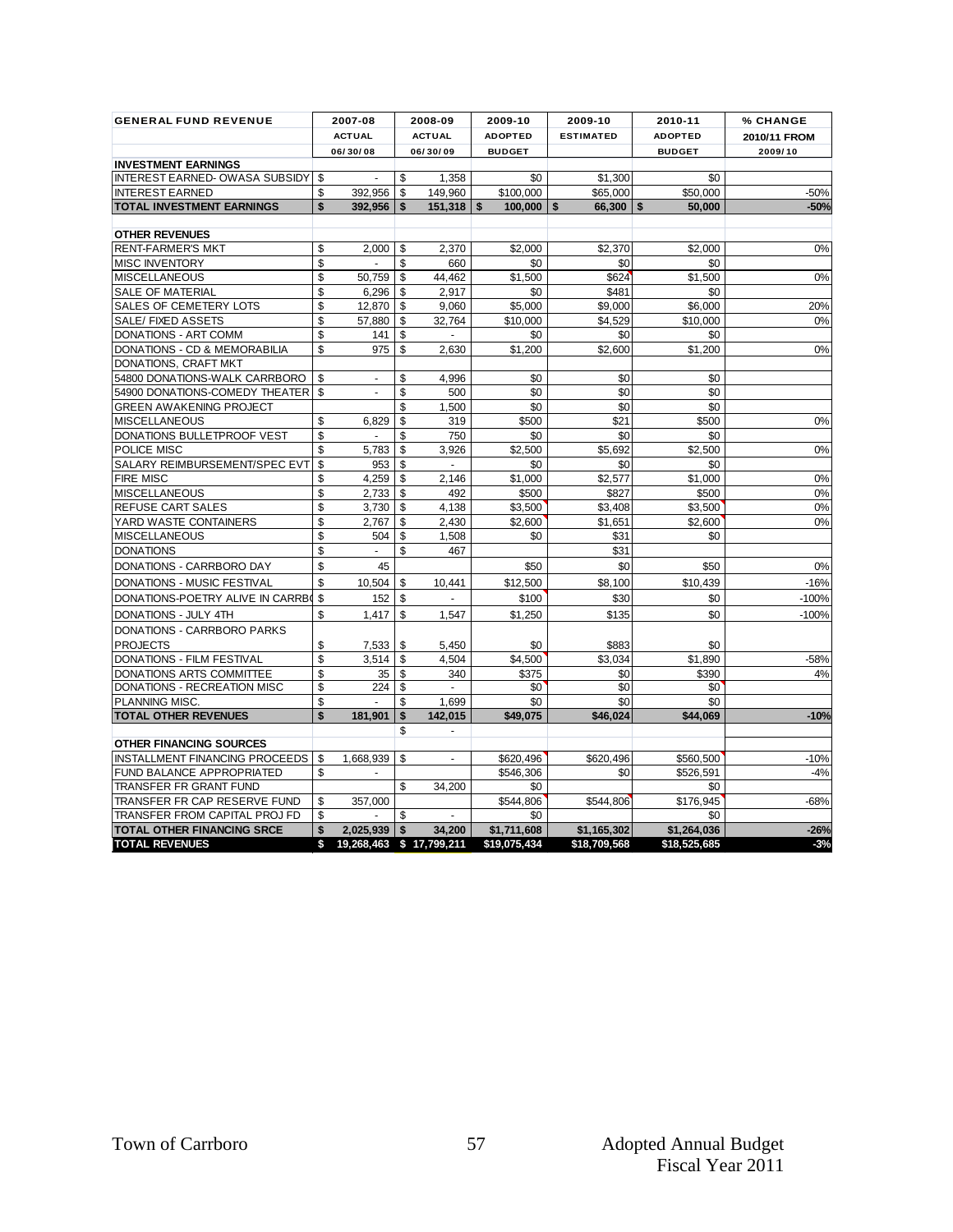| 2009/10<br>$-50%$<br>$-50%$<br>0%<br>0%<br>20%<br>0%<br>0% |
|------------------------------------------------------------|
|                                                            |
|                                                            |
|                                                            |
|                                                            |
|                                                            |
|                                                            |
|                                                            |
|                                                            |
|                                                            |
|                                                            |
|                                                            |
|                                                            |
|                                                            |
|                                                            |
|                                                            |
|                                                            |
| 0%                                                         |
|                                                            |
| 0%                                                         |
|                                                            |
| 0%                                                         |
| 0%                                                         |
| 0%                                                         |
| 0%                                                         |
|                                                            |
|                                                            |
| 0%                                                         |
| $-16%$                                                     |
| $-100%$                                                    |
| $-100%$                                                    |
|                                                            |
|                                                            |
| -58%<br>4%                                                 |
|                                                            |
|                                                            |
| $-10%$                                                     |
|                                                            |
|                                                            |
| $-10%$                                                     |
| $-4%$                                                      |
|                                                            |
| -68%                                                       |
| $-26%$                                                     |
| $-3%$                                                      |
|                                                            |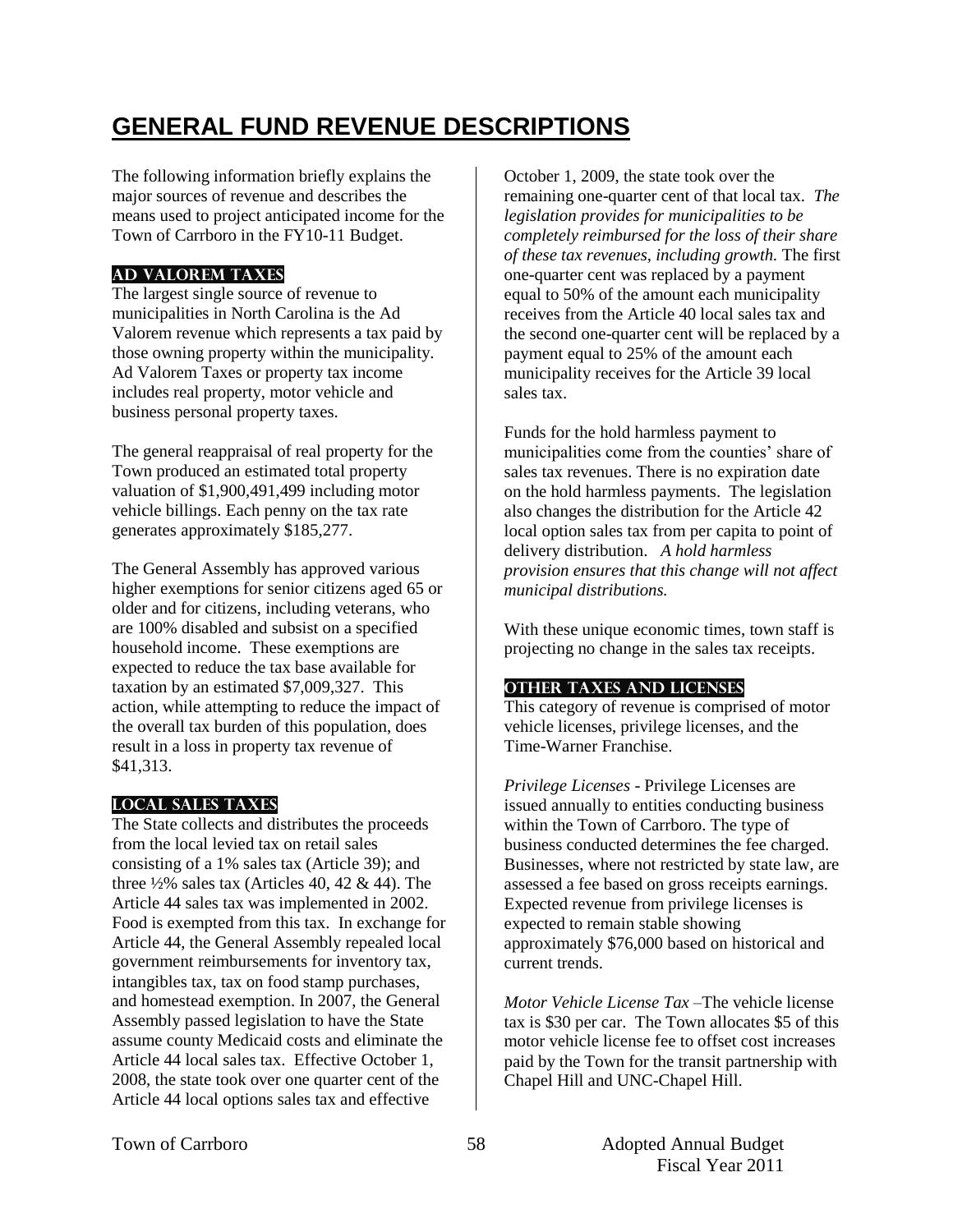# **GENERAL FUND REVENUE DESCRIPTIONS**

The following information briefly explains the major sources of revenue and describes the means used to project anticipated income for the Town of Carrboro in the FY10-11 Budget.

## **AD VALOREM TAXES**

The largest single source of revenue to municipalities in North Carolina is the Ad Valorem revenue which represents a tax paid by those owning property within the municipality. Ad Valorem Taxes or property tax income includes real property, motor vehicle and business personal property taxes.

The general reappraisal of real property for the Town produced an estimated total property valuation of \$1,900,491,499 including motor vehicle billings. Each penny on the tax rate generates approximately \$185,277.

The General Assembly has approved various higher exemptions for senior citizens aged 65 or older and for citizens, including veterans, who are 100% disabled and subsist on a specified household income. These exemptions are expected to reduce the tax base available for taxation by an estimated \$7,009,327. This action, while attempting to reduce the impact of the overall tax burden of this population, does result in a loss in property tax revenue of \$41,313.

## **LOCAL SALES TAXES**

The State collects and distributes the proceeds from the local levied tax on retail sales consisting of a 1% sales tax (Article 39); and three  $\frac{1}{2}\%$  sales tax (Articles 40, 42 & 44). The Article 44 sales tax was implemented in 2002. Food is exempted from this tax. In exchange for Article 44, the General Assembly repealed local government reimbursements for inventory tax, intangibles tax, tax on food stamp purchases, and homestead exemption. In 2007, the General Assembly passed legislation to have the State assume county Medicaid costs and eliminate the Article 44 local sales tax. Effective October 1, 2008, the state took over one quarter cent of the Article 44 local options sales tax and effective

October 1, 2009, the state took over the remaining one-quarter cent of that local tax. *The legislation provides for municipalities to be completely reimbursed for the loss of their share of these tax revenues, including growth.* The first one-quarter cent was replaced by a payment equal to 50% of the amount each municipality receives from the Article 40 local sales tax and the second one-quarter cent will be replaced by a payment equal to 25% of the amount each municipality receives for the Article 39 local sales tax.

Funds for the hold harmless payment to municipalities come from the counties' share of sales tax revenues. There is no expiration date on the hold harmless payments. The legislation also changes the distribution for the Article 42 local option sales tax from per capita to point of delivery distribution. *A hold harmless provision ensures that this change will not affect municipal distributions.*

With these unique economic times, town staff is projecting no change in the sales tax receipts.

## **OTHER TAXES AND LICENSES**

This category of revenue is comprised of motor vehicle licenses, privilege licenses, and the Time-Warner Franchise.

*Privilege Licenses* - Privilege Licenses are issued annually to entities conducting business within the Town of Carrboro. The type of business conducted determines the fee charged. Businesses, where not restricted by state law, are assessed a fee based on gross receipts earnings. Expected revenue from privilege licenses is expected to remain stable showing approximately \$76,000 based on historical and current trends.

*Motor Vehicle License Tax* –The vehicle license tax is \$30 per car. The Town allocates \$5 of this motor vehicle license fee to offset cost increases paid by the Town for the transit partnership with Chapel Hill and UNC-Chapel Hill.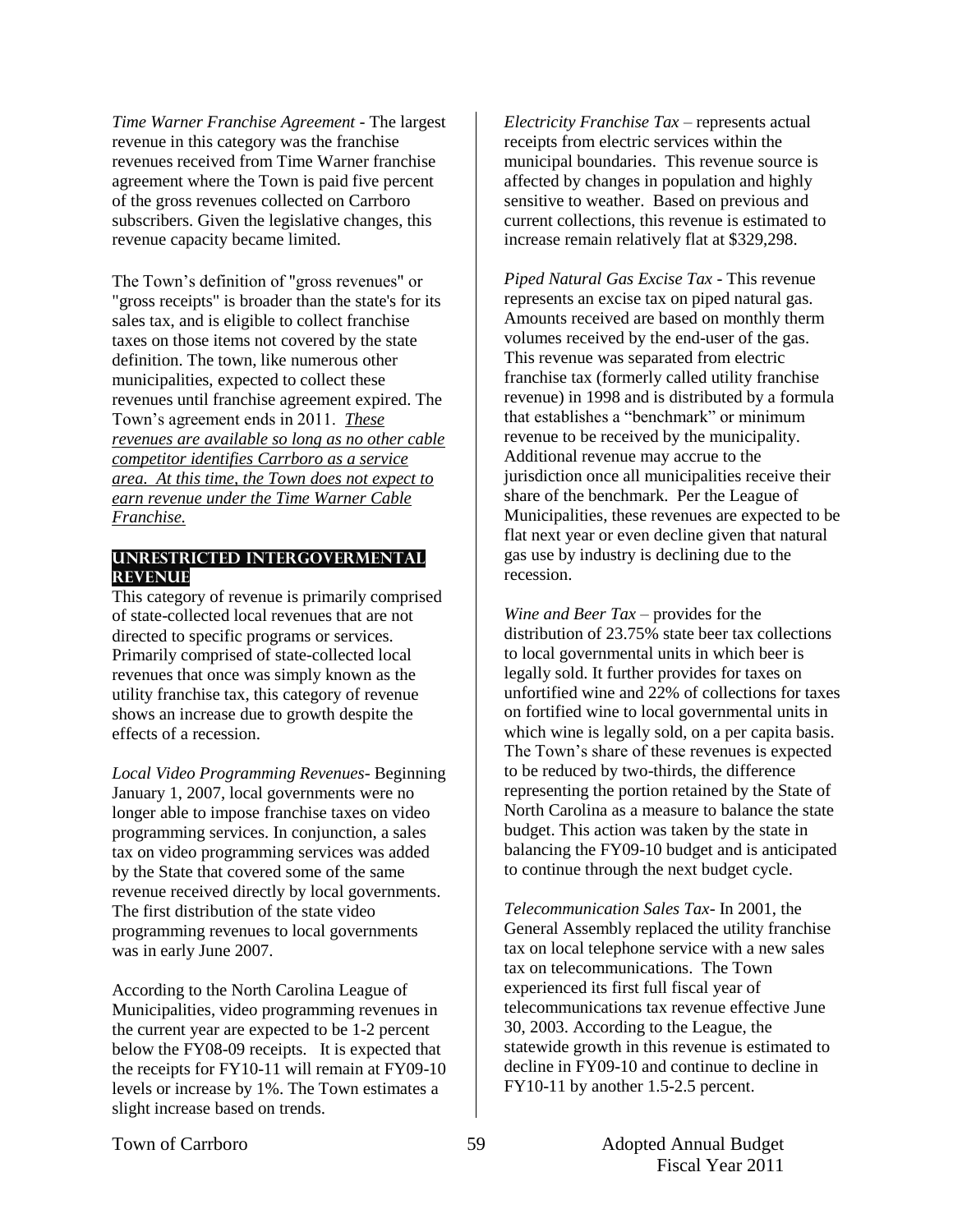*Time Warner Franchise Agreement -* The largest revenue in this category was the franchise revenues received from Time Warner franchise agreement where the Town is paid five percent of the gross revenues collected on Carrboro subscribers. Given the legislative changes, this revenue capacity became limited.

The Town's definition of "gross revenues" or "gross receipts" is broader than the state's for its sales tax, and is eligible to collect franchise taxes on those items not covered by the state definition. The town, like numerous other municipalities, expected to collect these revenues until franchise agreement expired. The Town's agreement ends in 2011. *These revenues are available so long as no other cable competitor identifies Carrboro as a service area. At this time, the Town does not expect to earn revenue under the Time Warner Cable Franchise.* 

#### **UNRESTRICTED INTERGOVERMENTAL REVENUE**

This category of revenue is primarily comprised of state-collected local revenues that are not directed to specific programs or services. Primarily comprised of state-collected local revenues that once was simply known as the utility franchise tax, this category of revenue shows an increase due to growth despite the effects of a recession.

*Local Video Programming Revenues*- Beginning January 1, 2007, local governments were no longer able to impose franchise taxes on video programming services. In conjunction, a sales tax on video programming services was added by the State that covered some of the same revenue received directly by local governments. The first distribution of the state video programming revenues to local governments was in early June 2007.

According to the North Carolina League of Municipalities, video programming revenues in the current year are expected to be 1-2 percent below the FY08-09 receipts. It is expected that the receipts for FY10-11 will remain at FY09-10 levels or increase by 1%. The Town estimates a slight increase based on trends.

*Electricity Franchise Tax* – represents actual receipts from electric services within the municipal boundaries. This revenue source is affected by changes in population and highly sensitive to weather. Based on previous and current collections, this revenue is estimated to increase remain relatively flat at \$329,298.

*Piped Natural Gas Excise Tax* - This revenue represents an excise tax on piped natural gas. Amounts received are based on monthly therm volumes received by the end-user of the gas. This revenue was separated from electric franchise tax (formerly called utility franchise revenue) in 1998 and is distributed by a formula that establishes a "benchmark" or minimum revenue to be received by the municipality. Additional revenue may accrue to the jurisdiction once all municipalities receive their share of the benchmark. Per the League of Municipalities, these revenues are expected to be flat next year or even decline given that natural gas use by industry is declining due to the recession.

*Wine and Beer Tax* – provides for the distribution of 23.75% state beer tax collections to local governmental units in which beer is legally sold. It further provides for taxes on unfortified wine and 22% of collections for taxes on fortified wine to local governmental units in which wine is legally sold, on a per capita basis. The Town's share of these revenues is expected to be reduced by two-thirds, the difference representing the portion retained by the State of North Carolina as a measure to balance the state budget. This action was taken by the state in balancing the FY09-10 budget and is anticipated to continue through the next budget cycle.

*Telecommunication Sales Tax*- In 2001, the General Assembly replaced the utility franchise tax on local telephone service with a new sales tax on telecommunications. The Town experienced its first full fiscal year of telecommunications tax revenue effective June 30, 2003. According to the League, the statewide growth in this revenue is estimated to decline in FY09-10 and continue to decline in FY10-11 by another 1.5-2.5 percent.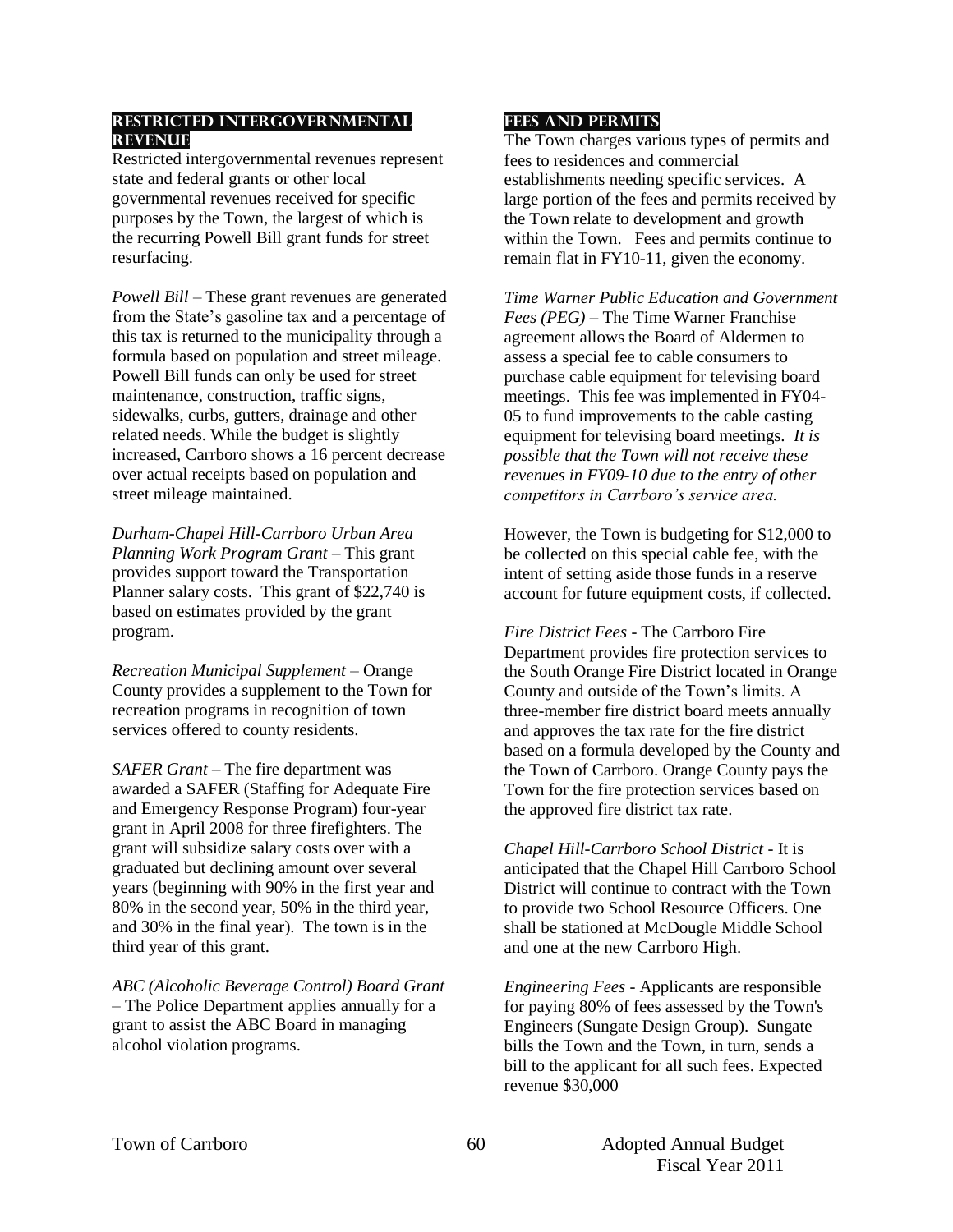#### **RESTRICTED INTERGOVERNMENTAL REVENUE**

Restricted intergovernmental revenues represent state and federal grants or other local governmental revenues received for specific purposes by the Town, the largest of which is the recurring Powell Bill grant funds for street resurfacing.

*Powell Bill* – These grant revenues are generated from the State's gasoline tax and a percentage of this tax is returned to the municipality through a formula based on population and street mileage. Powell Bill funds can only be used for street maintenance, construction, traffic signs, sidewalks, curbs, gutters, drainage and other related needs. While the budget is slightly increased, Carrboro shows a 16 percent decrease over actual receipts based on population and street mileage maintained.

*Durham-Chapel Hill-Carrboro Urban Area Planning Work Program Grant* – This grant provides support toward the Transportation Planner salary costs. This grant of \$22,740 is based on estimates provided by the grant program.

*Recreation Municipal Supplement –* Orange County provides a supplement to the Town for recreation programs in recognition of town services offered to county residents.

*SAFER Grant –* The fire department was awarded a SAFER (Staffing for Adequate Fire and Emergency Response Program) four-year grant in April 2008 for three firefighters. The grant will subsidize salary costs over with a graduated but declining amount over several years (beginning with 90% in the first year and 80% in the second year, 50% in the third year, and 30% in the final year). The town is in the third year of this grant.

*ABC (Alcoholic Beverage Control) Board Grant* – The Police Department applies annually for a grant to assist the ABC Board in managing alcohol violation programs.

### **FEES AND PERMITS**

The Town charges various types of permits and fees to residences and commercial establishments needing specific services. A large portion of the fees and permits received by the Town relate to development and growth within the Town. Fees and permits continue to remain flat in FY10-11, given the economy.

*Time Warner Public Education and Government Fees (PEG) –* The Time Warner Franchise agreement allows the Board of Aldermen to assess a special fee to cable consumers to purchase cable equipment for televising board meetings. This fee was implemented in FY04- 05 to fund improvements to the cable casting equipment for televising board meetings. *It is possible that the Town will not receive these revenues in FY09-10 due to the entry of other competitors in Carrboro's service area.* 

However, the Town is budgeting for \$12,000 to be collected on this special cable fee, with the intent of setting aside those funds in a reserve account for future equipment costs, if collected.

*Fire District Fees* - The Carrboro Fire Department provides fire protection services to the South Orange Fire District located in Orange County and outside of the Town's limits. A three-member fire district board meets annually and approves the tax rate for the fire district based on a formula developed by the County and the Town of Carrboro. Orange County pays the Town for the fire protection services based on the approved fire district tax rate.

*Chapel Hill-Carrboro School District* - It is anticipated that the Chapel Hill Carrboro School District will continue to contract with the Town to provide two School Resource Officers. One shall be stationed at McDougle Middle School and one at the new Carrboro High.

*Engineering Fees* - Applicants are responsible for paying 80% of fees assessed by the Town's Engineers (Sungate Design Group). Sungate bills the Town and the Town, in turn, sends a bill to the applicant for all such fees. Expected revenue \$30,000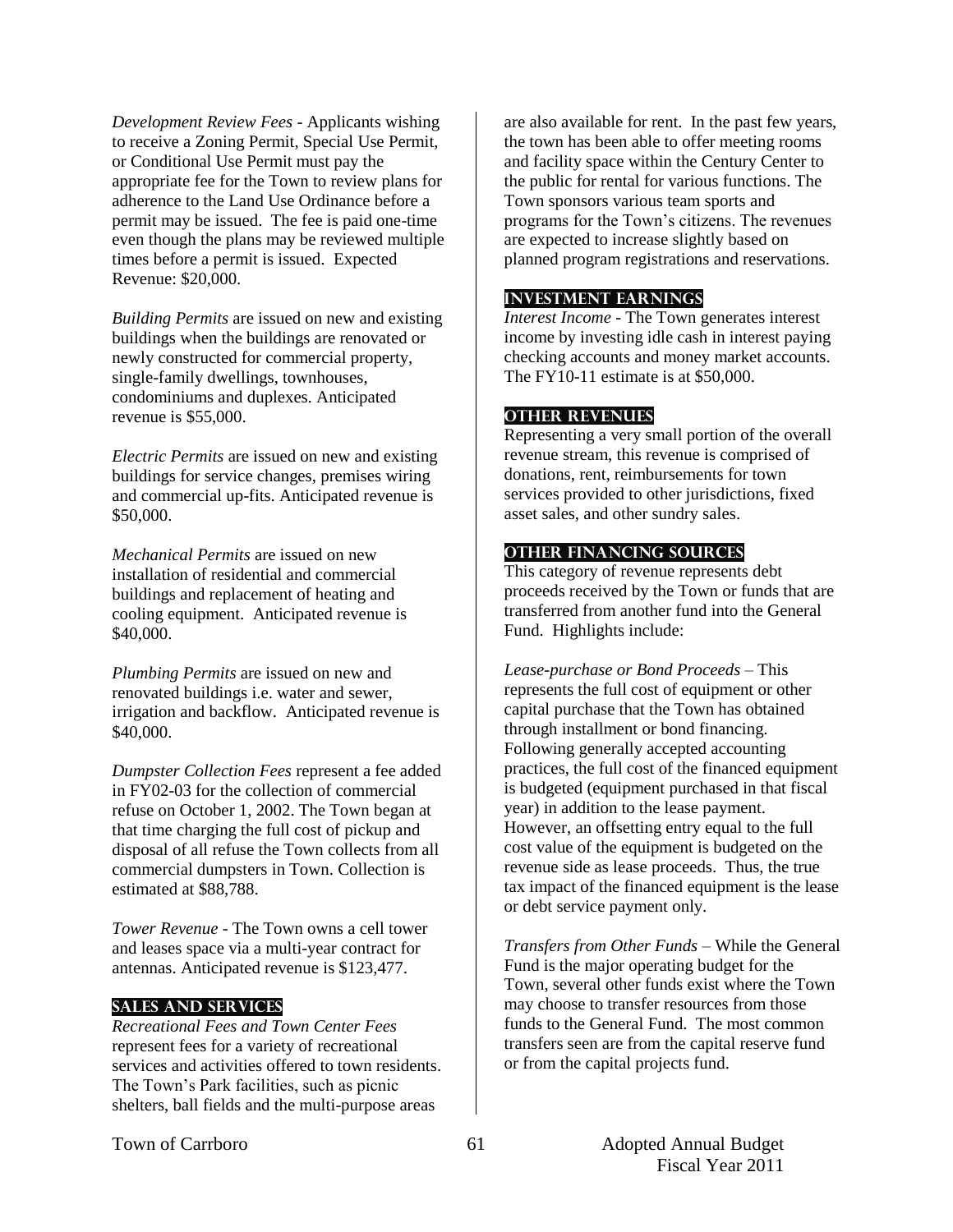*Development Review Fees* - Applicants wishing to receive a Zoning Permit, Special Use Permit, or Conditional Use Permit must pay the appropriate fee for the Town to review plans for adherence to the Land Use Ordinance before a permit may be issued. The fee is paid one-time even though the plans may be reviewed multiple times before a permit is issued. Expected Revenue: \$20,000.

*Building Permits* are issued on new and existing buildings when the buildings are renovated or newly constructed for commercial property, single-family dwellings, townhouses, condominiums and duplexes. Anticipated revenue is \$55,000.

*Electric Permits* are issued on new and existing buildings for service changes, premises wiring and commercial up-fits. Anticipated revenue is \$50,000.

*Mechanical Permits* are issued on new installation of residential and commercial buildings and replacement of heating and cooling equipment. Anticipated revenue is \$40,000.

*Plumbing Permits* are issued on new and renovated buildings i.e. water and sewer, irrigation and backflow. Anticipated revenue is \$40,000.

*Dumpster Collection Fees* represent a fee added in FY02-03 for the collection of commercial refuse on October 1, 2002. The Town began at that time charging the full cost of pickup and disposal of all refuse the Town collects from all commercial dumpsters in Town. Collection is estimated at \$88,788.

*Tower Revenue* - The Town owns a cell tower and leases space via a multi-year contract for antennas. Anticipated revenue is \$123,477.

#### **SALES AND SERVICES**

*Recreational Fees and Town Center Fees* represent fees for a variety of recreational services and activities offered to town residents. The Town's Park facilities, such as picnic shelters, ball fields and the multi-purpose areas

are also available for rent. In the past few years, the town has been able to offer meeting rooms and facility space within the Century Center to the public for rental for various functions. The Town sponsors various team sports and programs for the Town's citizens. The revenues are expected to increase slightly based on planned program registrations and reservations.

#### **INVESTMENT EARNINGS**

*Interest Income* - The Town generates interest income by investing idle cash in interest paying checking accounts and money market accounts. The FY10-11 estimate is at \$50,000.

#### **OTHER REVENUES**

Representing a very small portion of the overall revenue stream, this revenue is comprised of donations, rent, reimbursements for town services provided to other jurisdictions, fixed asset sales, and other sundry sales.

#### **OTHER FINANCING SOURCES**

This category of revenue represents debt proceeds received by the Town or funds that are transferred from another fund into the General Fund. Highlights include:

*Lease-purchase or Bond Proceeds –* This represents the full cost of equipment or other capital purchase that the Town has obtained through installment or bond financing. Following generally accepted accounting practices, the full cost of the financed equipment is budgeted (equipment purchased in that fiscal year) in addition to the lease payment. However, an offsetting entry equal to the full cost value of the equipment is budgeted on the revenue side as lease proceeds. Thus, the true tax impact of the financed equipment is the lease or debt service payment only.

*Transfers from Other Funds –* While the General Fund is the major operating budget for the Town, several other funds exist where the Town may choose to transfer resources from those funds to the General Fund. The most common transfers seen are from the capital reserve fund or from the capital projects fund.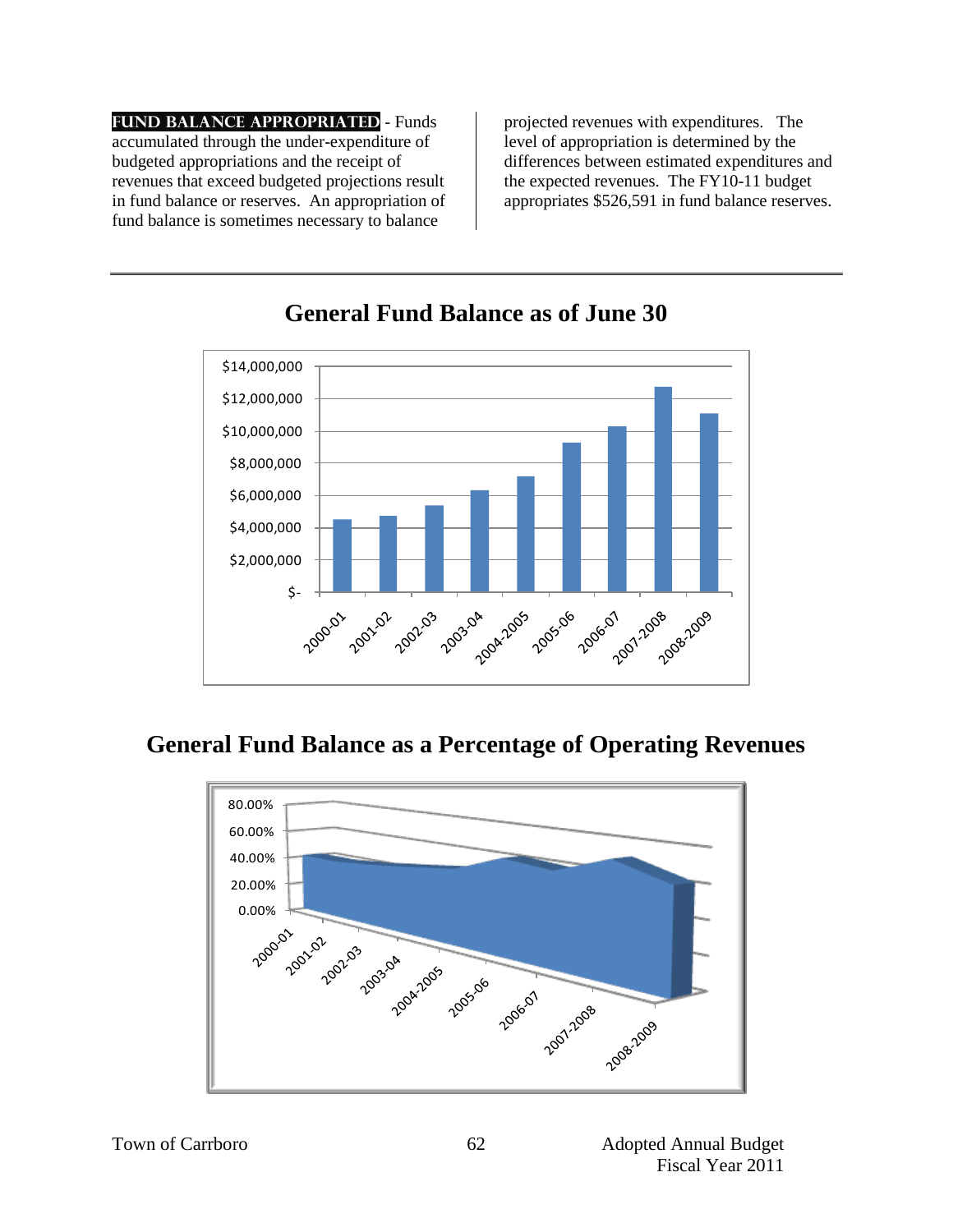**Fund Balance Appropriated** *-* Funds accumulated through the under-expenditure of budgeted appropriations and the receipt of revenues that exceed budgeted projections result in fund balance or reserves. An appropriation of fund balance is sometimes necessary to balance

projected revenues with expenditures. The level of appropriation is determined by the differences between estimated expenditures and the expected revenues. The FY10-11 budget appropriates \$526,591 in fund balance reserves.



## **General Fund Balance as of June 30**

## **General Fund Balance as a Percentage of Operating Revenues**

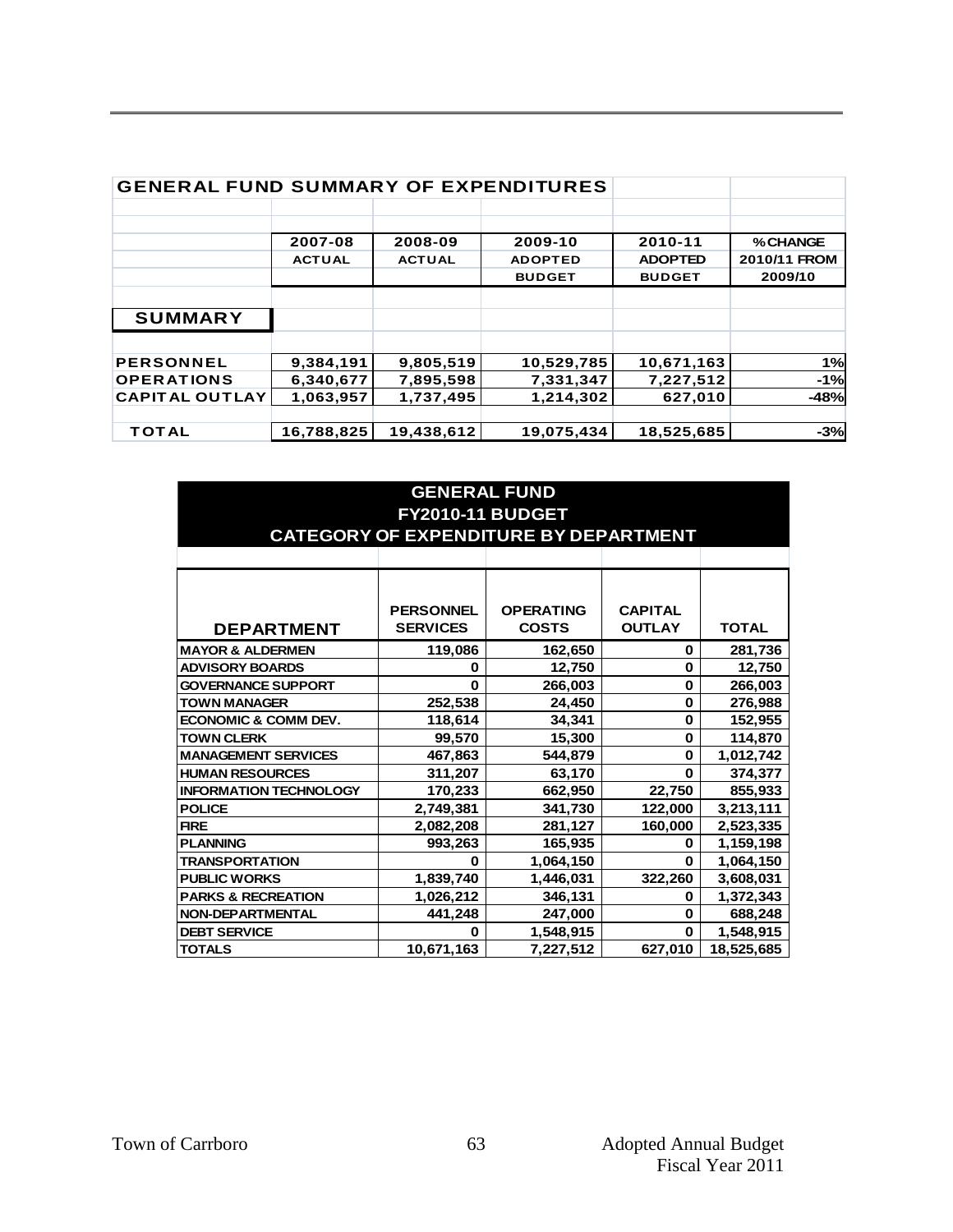| <b>GENERAL FUND SUMMARY OF EXPENDITURES</b> |               |               |                |                |              |
|---------------------------------------------|---------------|---------------|----------------|----------------|--------------|
|                                             |               |               |                |                |              |
|                                             | 2007-08       | 2008-09       | 2009-10        | 2010-11        | % CHANGE     |
|                                             | <b>ACTUAL</b> | <b>ACTUAL</b> | <b>ADOPTED</b> | <b>ADOPTED</b> | 2010/11 FROM |
|                                             |               |               | <b>BUDGET</b>  | <b>BUDGET</b>  | 2009/10      |
|                                             |               |               |                |                |              |
| <b>SUMMARY</b>                              |               |               |                |                |              |
|                                             |               |               |                |                |              |
| <b>PERSONNEL</b>                            | 9,384,191     | 9,805,519     | 10,529,785     | 10,671,163     | 1%           |
| <b>OPERATIONS</b>                           | 6,340,677     | 7,895,598     | 7,331,347      | 7,227,512      | $-1%$        |
| <b>CAPITAL OUTLAY</b>                       | 1,063,957     | 1,737,495     | 1,214,302      | 627,010        | $-48%$       |
|                                             |               |               |                |                |              |
| <b>TOTAL</b>                                | 16,788,825    | 19,438,612    | 19,075,434     | 18,525,685     | $-3%$        |

| <b>GENERAL FUND</b>             |                  |                                       |                |              |  |  |  |
|---------------------------------|------------------|---------------------------------------|----------------|--------------|--|--|--|
| <b>FY2010-11 BUDGET</b>         |                  |                                       |                |              |  |  |  |
|                                 |                  | CATEGORY OF EXPENDITURE BY DEPARTMENT |                |              |  |  |  |
|                                 |                  |                                       |                |              |  |  |  |
|                                 |                  |                                       |                |              |  |  |  |
|                                 |                  |                                       |                |              |  |  |  |
|                                 | <b>PERSONNEL</b> | <b>OPERATING</b>                      | <b>CAPITAL</b> |              |  |  |  |
| <b>DEPARTMENT</b>               | <b>SERVICES</b>  | <b>COSTS</b>                          | <b>OUTLAY</b>  | <b>TOTAL</b> |  |  |  |
| <b>MAYOR &amp; ALDERMEN</b>     | 119,086          | 162,650                               | $\bf{0}$       | 281,736      |  |  |  |
| <b>ADVISORY BOARDS</b>          |                  |                                       |                |              |  |  |  |
|                                 | 0                | 12,750                                | $\bf{0}$       | 12,750       |  |  |  |
| <b>GOVERNANCE SUPPORT</b>       | $\bf{0}$         | 266,003                               | $\mathbf 0$    | 266,003      |  |  |  |
| <b>TOWN MANAGER</b>             | 252,538          | 24,450                                | 0              | 276,988      |  |  |  |
| <b>ECONOMIC &amp; COMM DEV.</b> | 118,614          | 34,341                                | $\bf{0}$       | 152,955      |  |  |  |
| <b>TOWN CLERK</b>               | 99,570           | 15,300                                | $\bf{0}$       | 114,870      |  |  |  |
| <b>MANAGEMENT SERVICES</b>      | 467,863          | 544,879                               | $\bf{0}$       | 1,012,742    |  |  |  |
| <b>HUMAN RESOURCES</b>          | 311,207          | 63,170                                | $\bf{0}$       | 374,377      |  |  |  |
| <b>INFORMATION TECHNOLOGY</b>   | 170,233          | 662,950                               | 22,750         | 855,933      |  |  |  |
| <b>POLICE</b>                   | 2,749,381        | 341,730                               | 122,000        | 3,213,111    |  |  |  |
| <b>FIRE</b>                     | 2,082,208        | 281,127                               | 160,000        | 2,523,335    |  |  |  |
| <b>PLANNING</b>                 | 993,263          | 165,935                               | 0              | 1,159,198    |  |  |  |
| <b>TRANSPORTATION</b>           | 0                | 1,064,150                             | $\bf{0}$       | 1,064,150    |  |  |  |
| <b>PUBLIC WORKS</b>             | 1,839,740        | 1,446,031                             | 322,260        | 3,608,031    |  |  |  |
| <b>PARKS &amp; RECREATION</b>   | 1,026,212        | 346,131                               | 0              | 1,372,343    |  |  |  |
| <b>NON-DEPARTMENTAL</b>         | 441,248          | 247,000                               | $\bf{0}$       | 688,248      |  |  |  |
| <b>DEBT SERVICE</b>             | U                | 1,548,915                             | $\Omega$       | 1,548,915    |  |  |  |
| <b>TOTALS</b>                   | 10,671,163       | 7,227,512                             | 627,010        | 18,525,685   |  |  |  |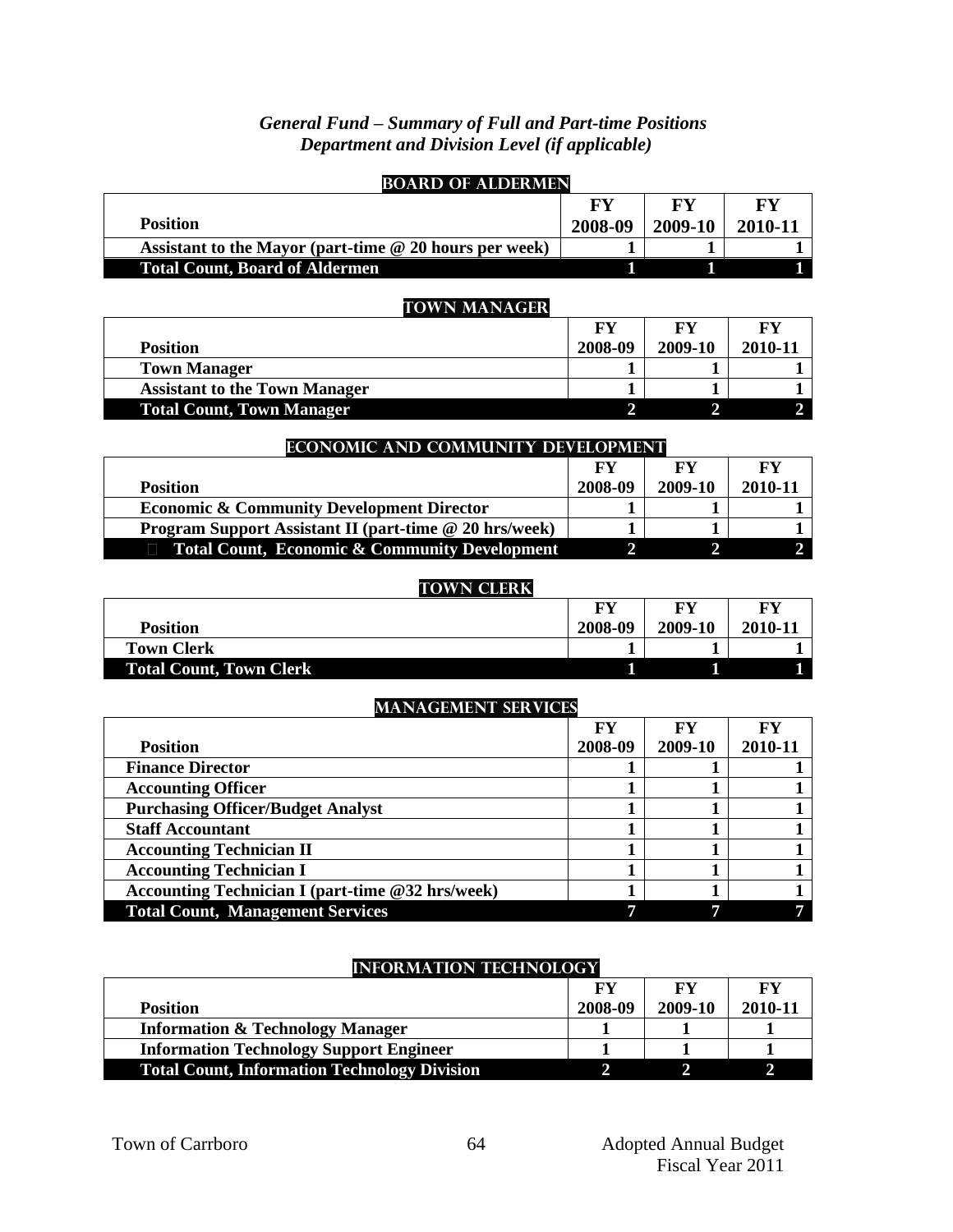### *General Fund – Summary of Full and Part-time Positions Department and Division Level (if applicable)*

| <b>BOARD OF ALDERMEN</b>                                 |                |                |                |
|----------------------------------------------------------|----------------|----------------|----------------|
|                                                          | <b>FY</b>      | <b>FY</b>      | <b>FY</b>      |
| <b>Position</b>                                          | 2008-09        | 2009-10        | 2010-11        |
| Assistant to the Mayor (part-time @ 20 hours per week)   |                | 1              |                |
| <b>Total Count, Board of Aldermen</b>                    | 1              | 1              | 1              |
|                                                          |                |                |                |
| <b>TOWN MANAGER</b>                                      |                |                |                |
|                                                          | <b>FY</b>      | <b>FY</b>      | <b>FY</b>      |
| <b>Position</b>                                          | 2008-09        | 2009-10        | 2010-11        |
| <b>Town Manager</b>                                      | 1              | 1              | 1              |
| <b>Assistant to the Town Manager</b>                     | $\mathbf{1}$   | $\mathbf{1}$   | 1              |
| <b>Total Count, Town Manager</b>                         | $\overline{2}$ | $\overline{2}$ | $\overline{2}$ |
|                                                          |                |                |                |
| ECONOMIC AND COMMUNITY DEVELOPMENT                       | <b>FY</b>      | <b>FY</b>      | <b>FY</b>      |
| <b>Position</b>                                          | 2008-09        | 2009-10        | 2010-11        |
| <b>Economic &amp; Community Development Director</b>     | 1              | 1              | 1              |
| Program Support Assistant II (part-time @ 20 hrs/week)   | 1              | 1              | 1              |
| <b>Total Count, Economic &amp; Community Development</b> | $\overline{2}$ | $\overline{2}$ | $\overline{2}$ |
|                                                          |                |                |                |
| <b>TOWN CLERK</b>                                        |                |                |                |
|                                                          | <b>FY</b>      | <b>FY</b>      | <b>FY</b>      |
| <b>Position</b>                                          | 2008-09        | 2009-10        | 2010-11        |
| <b>Town Clerk</b>                                        | 1              | 1              | 1              |
| <b>Total Count, Town Clerk</b>                           | 1              | 1              | $\mathbf{1}$   |
|                                                          |                |                |                |
| <b>MANAGEMENT SERVICES</b>                               |                |                |                |
|                                                          | <b>FY</b>      | <b>FY</b>      | <b>FY</b>      |
| <b>Position</b>                                          | 2008-09        | 2009-10        | 2010-11        |
| <b>Finance Director</b>                                  | 1              | 1              | $\mathbf{1}$   |
| <b>Accounting Officer</b>                                | 1              | 1              | $\mathbf{1}$   |
| <b>Purchasing Officer/Budget Analyst</b>                 | $\mathbf{1}$   | $\mathbf{1}$   | $\mathbf{1}$   |
| <b>Staff Accountant</b>                                  | $\mathbf{1}$   | $\mathbf{1}$   | $\mathbf{1}$   |
| <b>Accounting Technician II</b>                          | $\mathbf{1}$   | $\mathbf{1}$   | $\mathbf{1}$   |
| <b>Accounting Technician I</b>                           | $\mathbf{1}$   | $\mathbf{1}$   | $\mathbf{1}$   |
| <b>Accounting Technician I (part-time @32 hrs/week)</b>  | 1              | $\mathbf{1}$   | $\mathbf{1}$   |
| <b>Total Count, Management Services</b>                  | $\overline{7}$ | $\overline{7}$ | $\overline{7}$ |

### **INFORMATION TECHNOLOGY**

|                                                     | FY      | FY      | FY      |
|-----------------------------------------------------|---------|---------|---------|
| <b>Position</b>                                     | 2008-09 | 2009-10 | 2010-11 |
| <b>Information &amp; Technology Manager</b>         |         |         |         |
| <b>Information Technology Support Engineer</b>      |         |         |         |
| <b>Total Count, Information Technology Division</b> |         |         |         |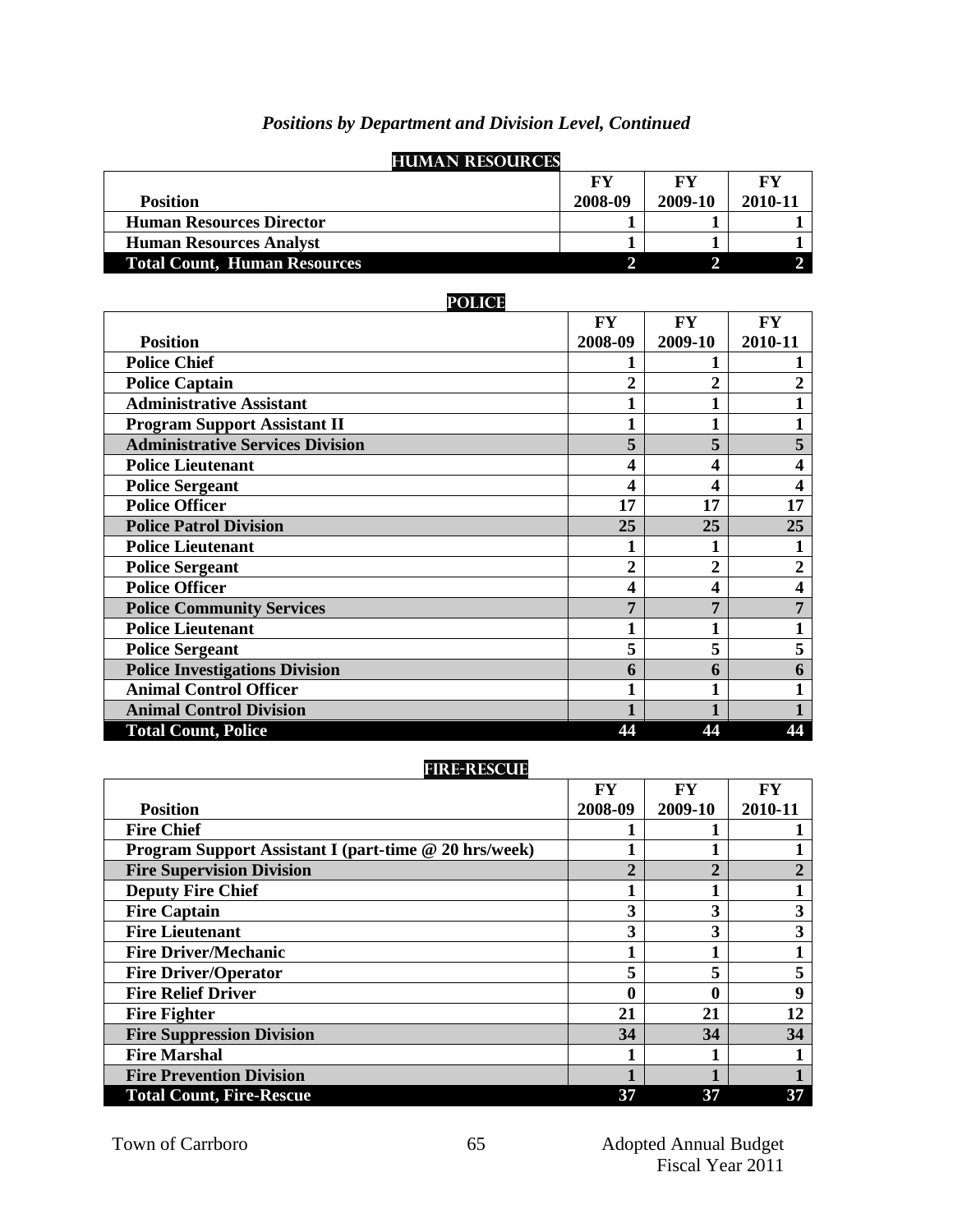| <b>HUMAN RESOURCES</b>              |         |         |         |
|-------------------------------------|---------|---------|---------|
|                                     | FY      | FY      | FY      |
| <b>Position</b>                     | 2008-09 | 2009-10 | 2010-11 |
| <b>Human Resources Director</b>     |         |         |         |
| <b>Human Resources Analyst</b>      |         |         |         |
| <b>Total Count, Human Resources</b> |         |         |         |

## *Positions by Department and Division Level, Continued*

### **Police**

|                                         | FY             | <b>FY</b>      | FY                      |
|-----------------------------------------|----------------|----------------|-------------------------|
| <b>Position</b>                         | 2008-09        | 2009-10        | 2010-11                 |
| <b>Police Chief</b>                     |                |                |                         |
| <b>Police Captain</b>                   | $\mathbf 2$    | $\overline{2}$ | $\overline{2}$          |
| <b>Administrative Assistant</b>         |                |                | 1                       |
| <b>Program Support Assistant II</b>     |                |                | $\mathbf{1}$            |
| <b>Administrative Services Division</b> | 5              | 5              | 5                       |
| <b>Police Lieutenant</b>                | 4              | 4              | 4                       |
| <b>Police Sergeant</b>                  | 4              | 4              | 4                       |
| <b>Police Officer</b>                   | 17             | 17             | 17                      |
| <b>Police Patrol Division</b>           | 25             | 25             | 25                      |
| <b>Police Lieutenant</b>                | 1              | 1              | 1                       |
| <b>Police Sergeant</b>                  | $\overline{2}$ | 2              | $\overline{2}$          |
| <b>Police Officer</b>                   | 4              | 4              | $\overline{\mathbf{4}}$ |
| <b>Police Community Services</b>        | 7              | 7              | 7                       |
| <b>Police Lieutenant</b>                |                |                | 1                       |
| <b>Police Sergeant</b>                  | 5              | 5              | 5                       |
| <b>Police Investigations Division</b>   | 6              | 6              | 6                       |
| <b>Animal Control Officer</b>           | $\mathbf{1}$   | 1              | 1                       |
| <b>Animal Control Division</b>          |                |                |                         |
| <b>Total Count, Police</b>              | 44             | 44             | 44                      |

## **Fire-Rescue**

|                                                       | FY          | FY      | FY             |
|-------------------------------------------------------|-------------|---------|----------------|
| <b>Position</b>                                       | 2008-09     | 2009-10 | 2010-11        |
| <b>Fire Chief</b>                                     |             |         |                |
| Program Support Assistant I (part-time @ 20 hrs/week) |             |         |                |
| <b>Fire Supervision Division</b>                      | $\mathbf 2$ | ኅ       | $\overline{2}$ |
| <b>Deputy Fire Chief</b>                              |             |         |                |
| <b>Fire Captain</b>                                   | 3           | 3       | 3              |
| <b>Fire Lieutenant</b>                                | 3           | 3       | 3              |
| <b>Fire Driver/Mechanic</b>                           |             |         |                |
| <b>Fire Driver/Operator</b>                           | 5           | 5       | 5              |
| <b>Fire Relief Driver</b>                             | 0           | 0       | 9              |
| <b>Fire Fighter</b>                                   | 21          | 21      | 12             |
| <b>Fire Suppression Division</b>                      | 34          | 34      | 34             |
| <b>Fire Marshal</b>                                   |             |         |                |
| <b>Fire Prevention Division</b>                       |             |         |                |
| <b>Total Count, Fire-Rescue</b>                       | 37          | 37      | 37             |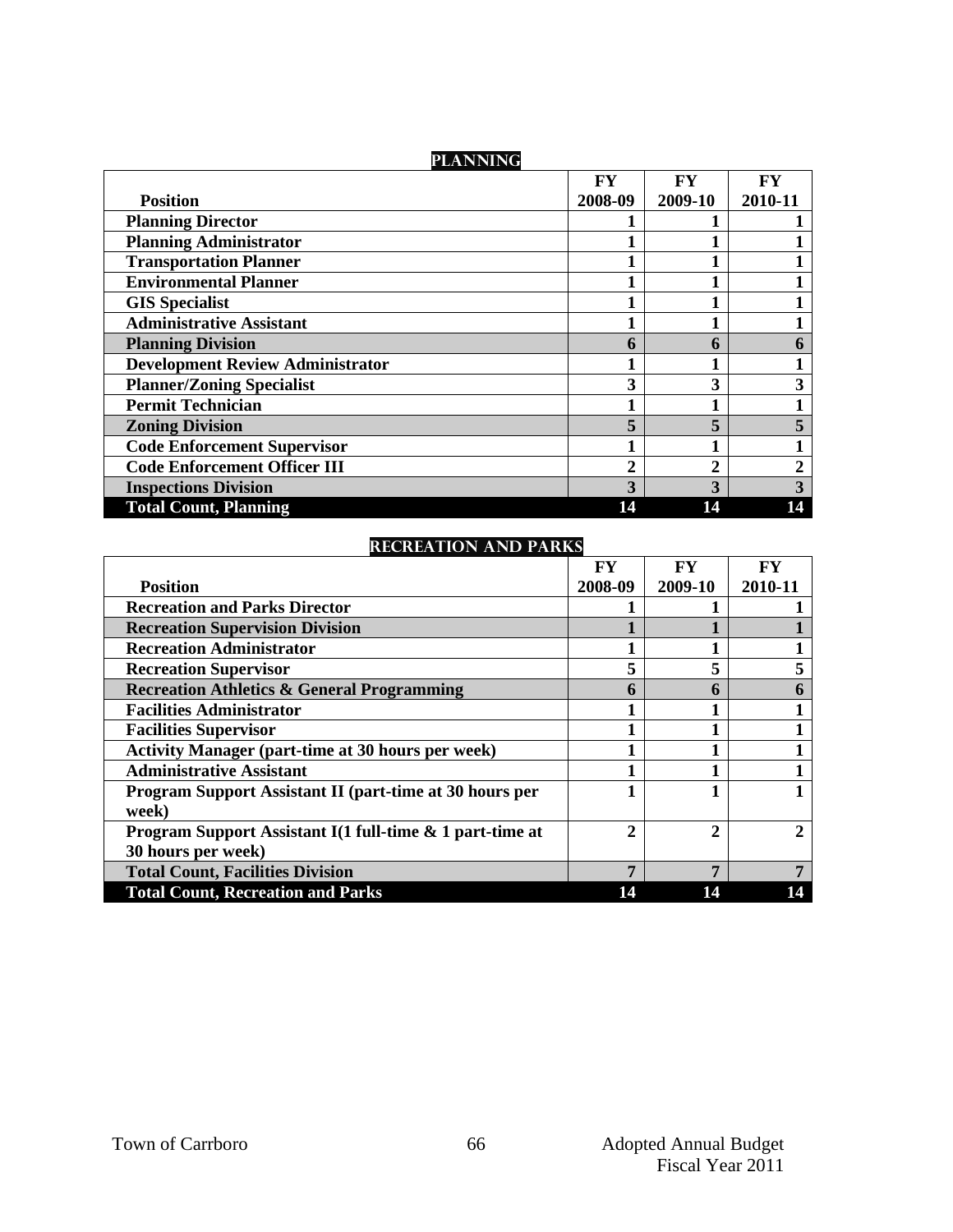| <b>PLANNING</b>                         |                  |                |                |
|-----------------------------------------|------------------|----------------|----------------|
|                                         | FY               | <b>FY</b>      | <b>FY</b>      |
| <b>Position</b>                         | 2008-09          | 2009-10        | 2010-11        |
| <b>Planning Director</b>                |                  |                |                |
| <b>Planning Administrator</b>           |                  |                |                |
| <b>Transportation Planner</b>           |                  |                |                |
| <b>Environmental Planner</b>            |                  |                |                |
| <b>GIS Specialist</b>                   |                  |                |                |
| <b>Administrative Assistant</b>         |                  |                |                |
| <b>Planning Division</b>                | 6                | 6              | 6              |
| <b>Development Review Administrator</b> |                  |                |                |
| <b>Planner/Zoning Specialist</b>        | 3                | 3              | 3              |
| <b>Permit Technician</b>                |                  |                |                |
| <b>Zoning Division</b>                  | 5                | 5              | 5              |
| <b>Code Enforcement Supervisor</b>      |                  |                |                |
| <b>Code Enforcement Officer III</b>     | $\boldsymbol{2}$ | $\overline{2}$ | $\overline{2}$ |
| <b>Inspections Division</b>             | 3                | 3              | 3              |
| <b>Total Count, Planning</b>            | 14               | 14             | 14             |

## **Recreation and Parks**

|                                                                | FY           | FY           | FY             |
|----------------------------------------------------------------|--------------|--------------|----------------|
| <b>Position</b>                                                | 2008-09      | 2009-10      | 2010-11        |
| <b>Recreation and Parks Director</b>                           |              |              |                |
| <b>Recreation Supervision Division</b>                         |              |              |                |
| <b>Recreation Administrator</b>                                |              |              |                |
| <b>Recreation Supervisor</b>                                   | 5            | 5            | 5              |
| <b>Recreation Athletics &amp; General Programming</b>          | 6            | h            | 6              |
| <b>Facilities Administrator</b>                                |              |              |                |
| <b>Facilities Supervisor</b>                                   |              |              |                |
| <b>Activity Manager (part-time at 30 hours per week)</b>       |              |              |                |
| <b>Administrative Assistant</b>                                |              |              |                |
| <b>Program Support Assistant II (part-time at 30 hours per</b> |              |              |                |
| week)                                                          |              |              |                |
| Program Support Assistant I(1 full-time & 1 part-time at       | $\mathbf{2}$ | $\mathbf{2}$ | $\mathfrak{D}$ |
| 30 hours per week)                                             |              |              |                |
| <b>Total Count, Facilities Division</b>                        | 7            | 7            | 7              |
| <b>Total Count, Recreation and Parks</b>                       | 14           | 14           |                |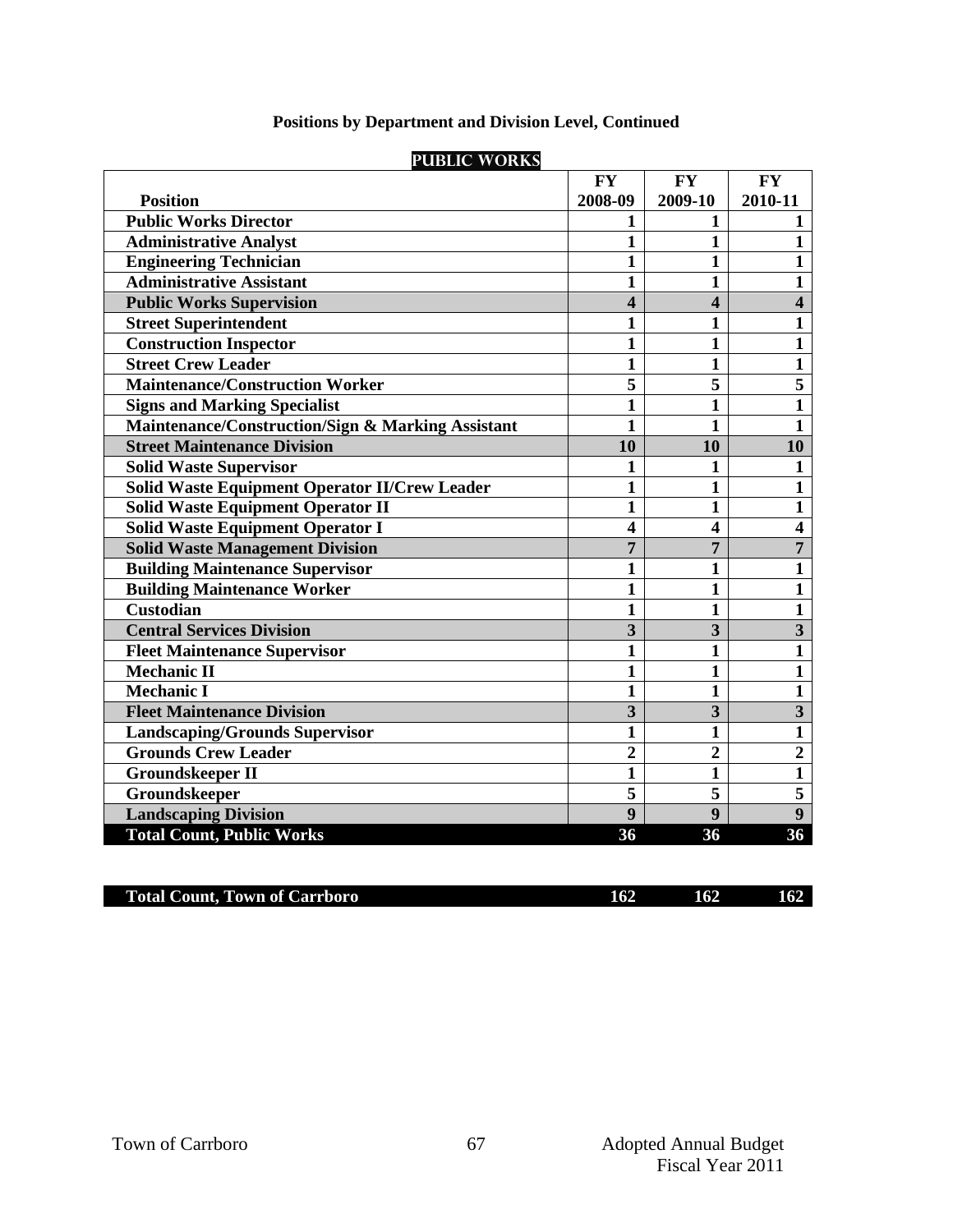| <b>PUBLIC WORKS</b>                                  |                         |                         |                         |  |  |
|------------------------------------------------------|-------------------------|-------------------------|-------------------------|--|--|
|                                                      | <b>FY</b>               | <b>FY</b>               | <b>FY</b>               |  |  |
| <b>Position</b>                                      | 2008-09                 | 2009-10                 | 2010-11                 |  |  |
| <b>Public Works Director</b>                         | 1                       | 1                       | $\mathbf{1}$            |  |  |
| <b>Administrative Analyst</b>                        | 1                       | $\mathbf{1}$            | $\overline{1}$          |  |  |
| <b>Engineering Technician</b>                        | $\mathbf{1}$            | $\mathbf{1}$            | $\mathbf{1}$            |  |  |
| <b>Administrative Assistant</b>                      | 1                       | $\mathbf{1}$            | $\mathbf{1}$            |  |  |
| <b>Public Works Supervision</b>                      | $\overline{\mathbf{4}}$ | 4                       | $\overline{\mathbf{4}}$ |  |  |
| <b>Street Superintendent</b>                         | 1                       | 1                       | 1                       |  |  |
| <b>Construction Inspector</b>                        | 1                       | $\mathbf{1}$            | $\mathbf{1}$            |  |  |
| <b>Street Crew Leader</b>                            | $\mathbf{1}$            | $\mathbf{1}$            | $\mathbf{1}$            |  |  |
| <b>Maintenance/Construction Worker</b>               | $\overline{\mathbf{5}}$ | $\overline{5}$          | 5                       |  |  |
| <b>Signs and Marking Specialist</b>                  | $\overline{1}$          | $\mathbf{1}$            | $\overline{\mathbf{1}}$ |  |  |
| Maintenance/Construction/Sign & Marking Assistant    | $\mathbf{1}$            | $\mathbf{1}$            | $\mathbf{1}$            |  |  |
| <b>Street Maintenance Division</b>                   | 10                      | 10                      | 10                      |  |  |
| <b>Solid Waste Supervisor</b>                        | 1                       | 1                       | $\mathbf{1}$            |  |  |
| <b>Solid Waste Equipment Operator II/Crew Leader</b> | $\mathbf{1}$            | $\mathbf{1}$            | $\mathbf{1}$            |  |  |
| <b>Solid Waste Equipment Operator II</b>             | 1                       | 1                       | $\mathbf{1}$            |  |  |
| <b>Solid Waste Equipment Operator I</b>              | $\overline{\mathbf{4}}$ | $\overline{\mathbf{4}}$ | $\overline{\mathbf{4}}$ |  |  |
| <b>Solid Waste Management Division</b>               | $\overline{7}$          | 7                       | $\overline{7}$          |  |  |
| <b>Building Maintenance Supervisor</b>               | $\mathbf{1}$            | $\mathbf{1}$            | $\mathbf{1}$            |  |  |
| <b>Building Maintenance Worker</b>                   | $\mathbf{1}$            | $\mathbf{1}$            | $\mathbf{1}$            |  |  |
| <b>Custodian</b>                                     | $\mathbf{1}$            | $\mathbf{1}$            | $\mathbf{1}$            |  |  |
| <b>Central Services Division</b>                     | 3                       | 3                       | $\mathbf{3}$            |  |  |
| <b>Fleet Maintenance Supervisor</b>                  | $\mathbf{1}$            | $\mathbf{1}$            | $\mathbf{1}$            |  |  |
| <b>Mechanic II</b>                                   | $\mathbf{1}$            | $\mathbf{1}$            | $\mathbf{1}$            |  |  |
| <b>Mechanic I</b>                                    | $\mathbf{1}$            | $\mathbf{1}$            | $\overline{\mathbf{1}}$ |  |  |
| <b>Fleet Maintenance Division</b>                    | $\overline{\mathbf{3}}$ | $\overline{\mathbf{3}}$ | $\overline{\mathbf{3}}$ |  |  |
| <b>Landscaping/Grounds Supervisor</b>                | $\mathbf{1}$            | 1                       | $\mathbf{1}$            |  |  |
| <b>Grounds Crew Leader</b>                           | $\overline{2}$          | $\overline{2}$          | $\overline{2}$          |  |  |
| <b>Groundskeeper II</b>                              | $\mathbf{1}$            | $\mathbf{1}$            | $\mathbf{1}$            |  |  |
| Groundskeeper                                        | 5                       | 5                       | 5                       |  |  |
| <b>Landscaping Division</b>                          | $\boldsymbol{9}$        | $\boldsymbol{9}$        | $\boldsymbol{9}$        |  |  |
| <b>Total Count, Public Works</b>                     | 36                      | 36                      | 36                      |  |  |

## **Positions by Department and Division Level, Continued**

| <b>Total Count, Town of Carrboro</b> | 162 | 162 | 162 |
|--------------------------------------|-----|-----|-----|
|                                      |     |     |     |